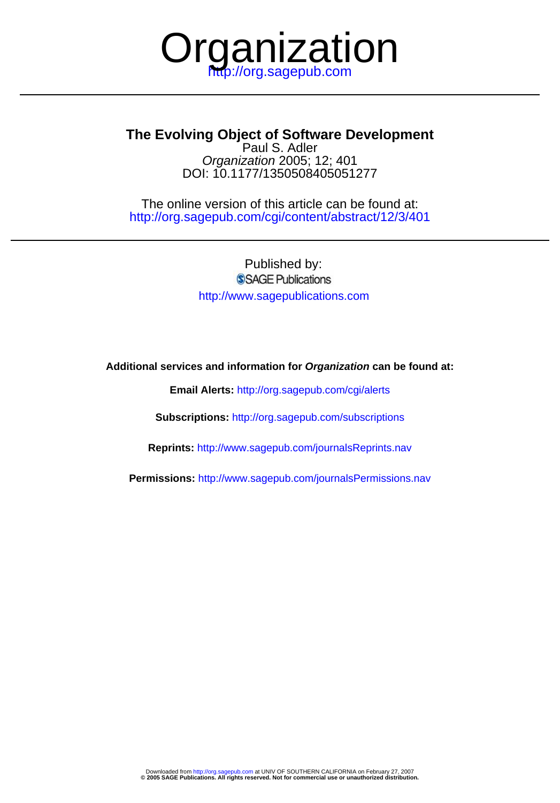# Organization

## **The Evolving Object of Software Development**

DOI: 10.1177/1350508405051277 Organization 2005; 12; 401 Paul S. Adler

http://org.sagepub.com/cgi/content/abstract/12/3/401 The online version of this article can be found at:

> Published by: SSAGE Publications http://www.sagepublications.com

**Additional services and information for Organization can be found at:**

**Email Alerts:** <http://org.sagepub.com/cgi/alerts>

**Subscriptions:** <http://org.sagepub.com/subscriptions>

**Reprints:** <http://www.sagepub.com/journalsReprints.nav>

**Permissions:** <http://www.sagepub.com/journalsPermissions.nav>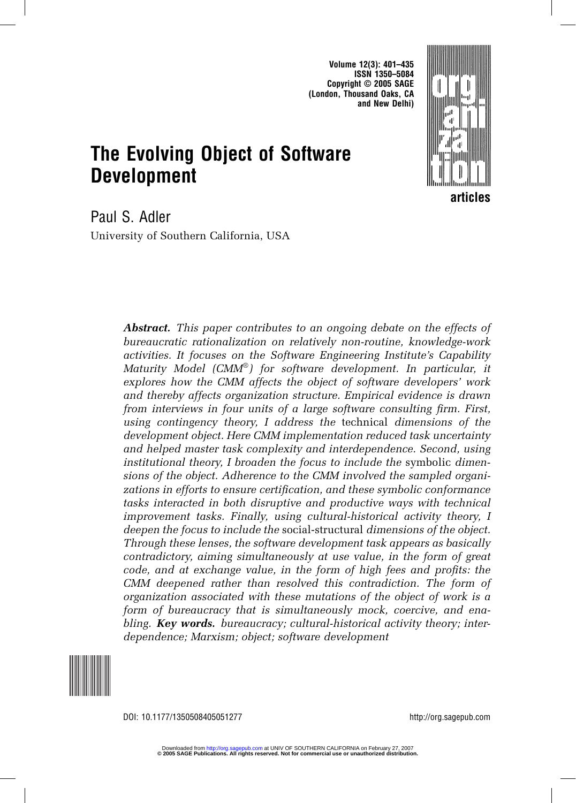**Volume 12(3): 401–435 ISSN 1350–5084 Copyright © 2005 SAGE (London, Thousand Oaks, CA and New Delhi)**

# **The Evolving Object of Software Development**



Paul S. Adler

University of Southern California, USA

*Abstract. This paper contributes to an ongoing debate on the effects of bureaucratic rationalization on relatively non-routine, knowledge-work activities. It focuses on the Software Engineering Institute's Capability Maturity Model (CMM®) for software development. In particular, it explores how the CMM affects the object of software developers' work and thereby affects organization structure. Empirical evidence is drawn from interviews in four units of a large software consulting firm. First, using contingency theory, I address the* technical *dimensions of the development object. Here CMM implementation reduced task uncertainty and helped master task complexity and interdependence. Second, using institutional theory, I broaden the focus to include the* symbolic *dimensions of the object. Adherence to the CMM involved the sampled organizations in efforts to ensure certification, and these symbolic conformance tasks interacted in both disruptive and productive ways with technical improvement tasks. Finally, using cultural-historical activity theory, I deepen the focus to include the* social-structural *dimensions of the object. Through these lenses, the software development task appears as basically contradictory, aiming simultaneously at use value, in the form of great code, and at exchange value, in the form of high fees and profits: the CMM deepened rather than resolved this contradiction. The form of organization associated with these mutations of the object of work is a form of bureaucracy that is simultaneously mock, coercive, and enabling. Key words. bureaucracy; cultural-historical activity theory; interdependence; Marxism; object; software development*



DOI: 10.1177/1350508405051277 http://org.sagepub.com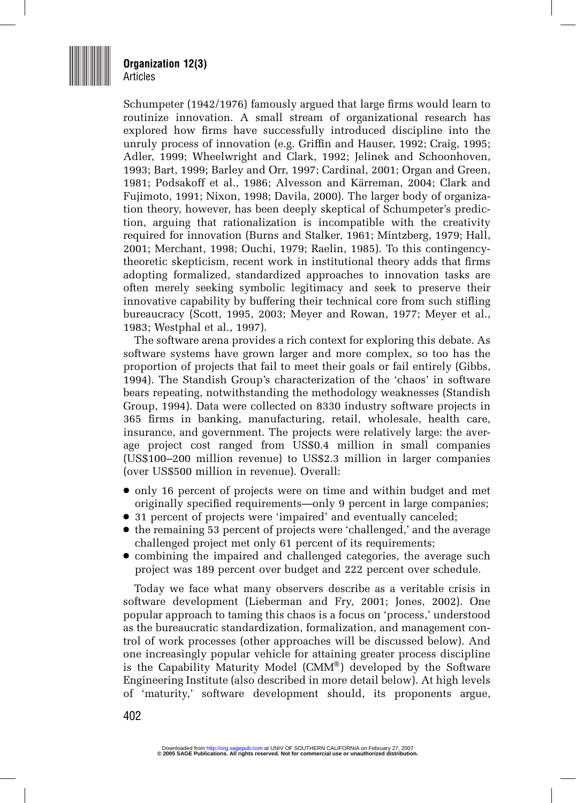

Schumpeter (1942/1976) famously argued that large firms would learn to routinize innovation. A small stream of organizational research has explored how firms have successfully introduced discipline into the unruly process of innovation (e.g. Griffin and Hauser, 1992; Craig, 1995; Adler, 1999; Wheelwright and Clark, 1992; Jelinek and Schoonhoven, 1993; Bart, 1999; Barley and Orr, 1997; Cardinal, 2001; Organ and Green, 1981; Podsakoff et al., 1986; Alvesson and Kärreman, 2004; Clark and Fujimoto, 1991; Nixon, 1998; Davila, 2000). The larger body of organization theory, however, has been deeply skeptical of Schumpeter's prediction, arguing that rationalization is incompatible with the creativity required for innovation (Burns and Stalker, 1961; Mintzberg, 1979; Hall, 2001; Merchant, 1998; Ouchi, 1979; Raelin, 1985). To this contingencytheoretic skepticism, recent work in institutional theory adds that firms adopting formalized, standardized approaches to innovation tasks are often merely seeking symbolic legitimacy and seek to preserve their innovative capability by buffering their technical core from such stifling bureaucracy (Scott, 1995, 2003; Meyer and Rowan, 1977; Meyer et al., 1983; Westphal et al., 1997).

The software arena provides a rich context for exploring this debate. As software systems have grown larger and more complex, so too has the proportion of projects that fail to meet their goals or fail entirely (Gibbs, 1994). The Standish Group's characterization of the 'chaos' in software bears repeating, notwithstanding the methodology weaknesses (Standish Group, 1994). Data were collected on 8330 industry software projects in 365 firms in banking, manufacturing, retail, wholesale, health care, insurance, and government. The projects were relatively large: the average project cost ranged from US\$0.4 million in small companies (US\$100–200 million revenue) to US\$2.3 million in larger companies (over US\$500 million in revenue). Overall:

- only 16 percent of projects were on time and within budget and met originally specified requirements—only 9 percent in large companies;
- 31 percent of projects were 'impaired' and eventually canceled;
- the remaining 53 percent of projects were 'challenged,' and the average challenged project met only 61 percent of its requirements;
- combining the impaired and challenged categories, the average such project was 189 percent over budget and 222 percent over schedule.

Today we face what many observers describe as a veritable crisis in software development (Lieberman and Fry, 2001; Jones, 2002). One popular approach to taming this chaos is a focus on 'process,' understood as the bureaucratic standardization, formalization, and management control of work processes (other approaches will be discussed below). And one increasingly popular vehicle for attaining greater process discipline is the Capability Maturity Model (CMM®) developed by the Software Engineering Institute (also described in more detail below). At high levels of 'maturity,' software development should, its proponents argue,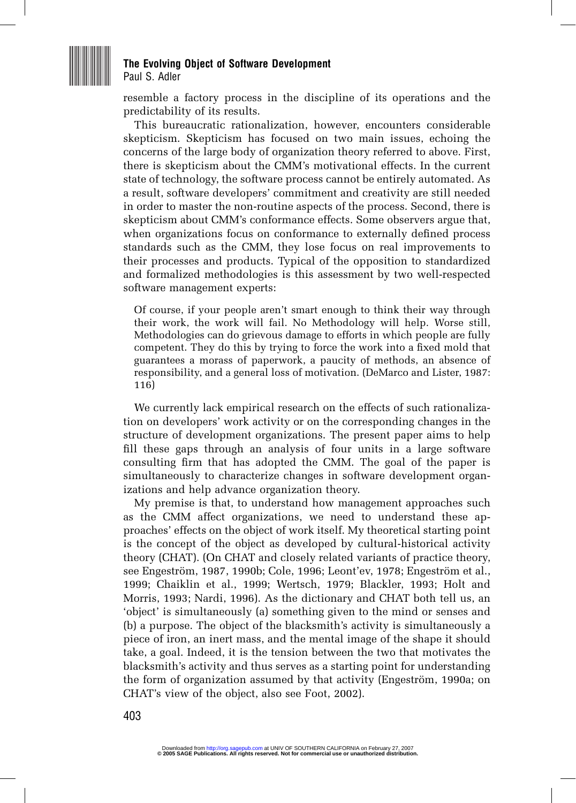

resemble a factory process in the discipline of its operations and the predictability of its results.

This bureaucratic rationalization, however, encounters considerable skepticism. Skepticism has focused on two main issues, echoing the concerns of the large body of organization theory referred to above. First, there is skepticism about the CMM's motivational effects. In the current state of technology, the software process cannot be entirely automated. As a result, software developers' commitment and creativity are still needed in order to master the non-routine aspects of the process. Second, there is skepticism about CMM's conformance effects. Some observers argue that, when organizations focus on conformance to externally defined process standards such as the CMM, they lose focus on real improvements to their processes and products. Typical of the opposition to standardized and formalized methodologies is this assessment by two well-respected software management experts:

Of course, if your people aren't smart enough to think their way through their work, the work will fail. No Methodology will help. Worse still, Methodologies can do grievous damage to efforts in which people are fully competent. They do this by trying to force the work into a fixed mold that guarantees a morass of paperwork, a paucity of methods, an absence of responsibility, and a general loss of motivation. (DeMarco and Lister, 1987: 116)

We currently lack empirical research on the effects of such rationalization on developers' work activity or on the corresponding changes in the structure of development organizations. The present paper aims to help fill these gaps through an analysis of four units in a large software consulting firm that has adopted the CMM. The goal of the paper is simultaneously to characterize changes in software development organizations and help advance organization theory.

My premise is that, to understand how management approaches such as the CMM affect organizations, we need to understand these approaches' effects on the object of work itself. My theoretical starting point is the concept of the object as developed by cultural-historical activity theory (CHAT). (On CHAT and closely related variants of practice theory, see Engeström, 1987, 1990b; Cole, 1996; Leont'ev, 1978; Engeström et al., 1999; Chaiklin et al., 1999; Wertsch, 1979; Blackler, 1993; Holt and Morris, 1993; Nardi, 1996). As the dictionary and CHAT both tell us, an 'object' is simultaneously (a) something given to the mind or senses and (b) a purpose. The object of the blacksmith's activity is simultaneously a piece of iron, an inert mass, and the mental image of the shape it should take, a goal. Indeed, it is the tension between the two that motivates the blacksmith's activity and thus serves as a starting point for understanding the form of organization assumed by that activity (Engeström, 1990a; on CHAT's view of the object, also see Foot, 2002).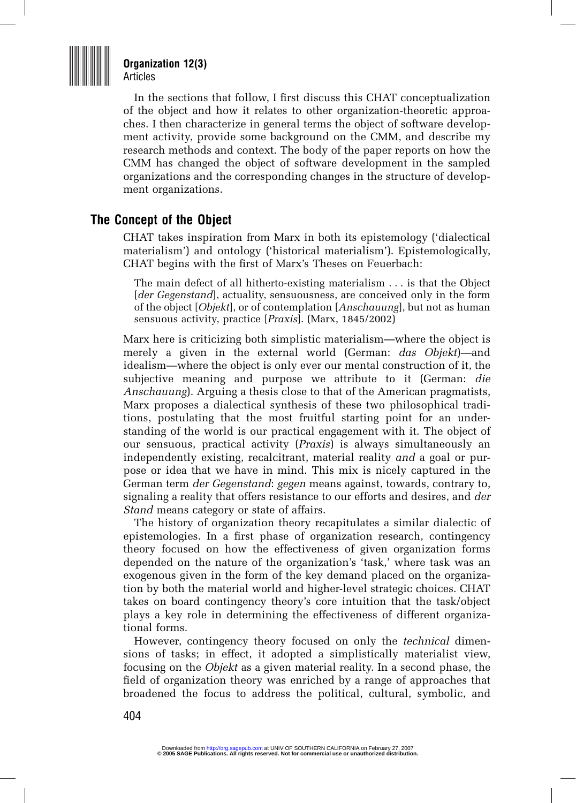

In the sections that follow, I first discuss this CHAT conceptualization of the object and how it relates to other organization-theoretic approaches. I then characterize in general terms the object of software development activity, provide some background on the CMM, and describe my research methods and context. The body of the paper reports on how the CMM has changed the object of software development in the sampled organizations and the corresponding changes in the structure of development organizations.

## **The Concept of the Object**

CHAT takes inspiration from Marx in both its epistemology ('dialectical materialism') and ontology ('historical materialism'). Epistemologically, CHAT begins with the first of Marx's Theses on Feuerbach:

The main defect of all hitherto-existing materialism . . . is that the Object [*der Gegenstand*], actuality, sensuousness, are conceived only in the form of the object [*Objekt*], or of contemplation [*Anschauung*], but not as human sensuous activity, practice [*Praxis*]. (Marx, 1845/2002)

Marx here is criticizing both simplistic materialism—where the object is merely a given in the external world (German: *das Objekt*)—and idealism—where the object is only ever our mental construction of it, the subjective meaning and purpose we attribute to it (German: *die Anschauung*). Arguing a thesis close to that of the American pragmatists, Marx proposes a dialectical synthesis of these two philosophical traditions, postulating that the most fruitful starting point for an understanding of the world is our practical engagement with it. The object of our sensuous, practical activity (*Praxis*) is always simultaneously an independently existing, recalcitrant, material reality *and* a goal or purpose or idea that we have in mind. This mix is nicely captured in the German term *der Gegenstand*: *gegen* means against, towards, contrary to, signaling a reality that offers resistance to our efforts and desires, and *der Stand* means category or state of affairs.

The history of organization theory recapitulates a similar dialectic of epistemologies. In a first phase of organization research, contingency theory focused on how the effectiveness of given organization forms depended on the nature of the organization's 'task,' where task was an exogenous given in the form of the key demand placed on the organization by both the material world and higher-level strategic choices. CHAT takes on board contingency theory's core intuition that the task/object plays a key role in determining the effectiveness of different organizational forms.

However, contingency theory focused on only the *technical* dimensions of tasks; in effect, it adopted a simplistically materialist view, focusing on the *Objekt* as a given material reality. In a second phase, the field of organization theory was enriched by a range of approaches that broadened the focus to address the political, cultural, symbolic, and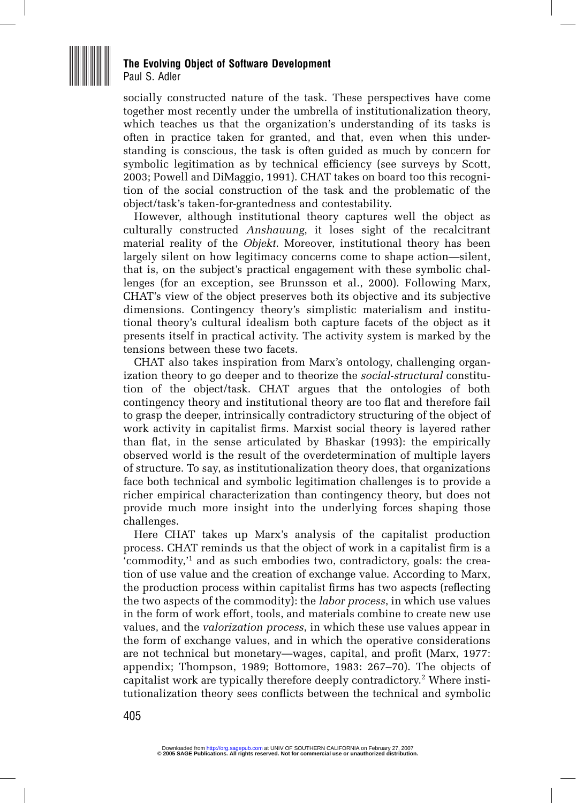

socially constructed nature of the task. These perspectives have come together most recently under the umbrella of institutionalization theory, which teaches us that the organization's understanding of its tasks is often in practice taken for granted, and that, even when this understanding is conscious, the task is often guided as much by concern for symbolic legitimation as by technical efficiency (see surveys by Scott, 2003; Powell and DiMaggio, 1991). CHAT takes on board too this recognition of the social construction of the task and the problematic of the object/task's taken-for-grantedness and contestability.

However, although institutional theory captures well the object as culturally constructed *Anshauung*, it loses sight of the recalcitrant material reality of the *Objekt*. Moreover, institutional theory has been largely silent on how legitimacy concerns come to shape action—silent, that is, on the subject's practical engagement with these symbolic challenges (for an exception, see Brunsson et al., 2000). Following Marx, CHAT's view of the object preserves both its objective and its subjective dimensions. Contingency theory's simplistic materialism and institutional theory's cultural idealism both capture facets of the object as it presents itself in practical activity. The activity system is marked by the tensions between these two facets.

CHAT also takes inspiration from Marx's ontology, challenging organization theory to go deeper and to theorize the *social-structural* constitution of the object/task. CHAT argues that the ontologies of both contingency theory and institutional theory are too flat and therefore fail to grasp the deeper, intrinsically contradictory structuring of the object of work activity in capitalist firms. Marxist social theory is layered rather than flat, in the sense articulated by Bhaskar (1993): the empirically observed world is the result of the overdetermination of multiple layers of structure. To say, as institutionalization theory does, that organizations face both technical and symbolic legitimation challenges is to provide a richer empirical characterization than contingency theory, but does not provide much more insight into the underlying forces shaping those challenges.

Here CHAT takes up Marx's analysis of the capitalist production process. CHAT reminds us that the object of work in a capitalist firm is a 'commodity,'1 and as such embodies two, contradictory, goals: the creation of use value and the creation of exchange value. According to Marx, the production process within capitalist firms has two aspects (reflecting the two aspects of the commodity): the *labor process*, in which use values in the form of work effort, tools, and materials combine to create new use values, and the *valorization process*, in which these use values appear in the form of exchange values, and in which the operative considerations are not technical but monetary—wages, capital, and profit (Marx, 1977: appendix; Thompson, 1989; Bottomore, 1983: 267–70). The objects of capitalist work are typically therefore deeply contradictory. <sup>2</sup> Where institutionalization theory sees conflicts between the technical and symbolic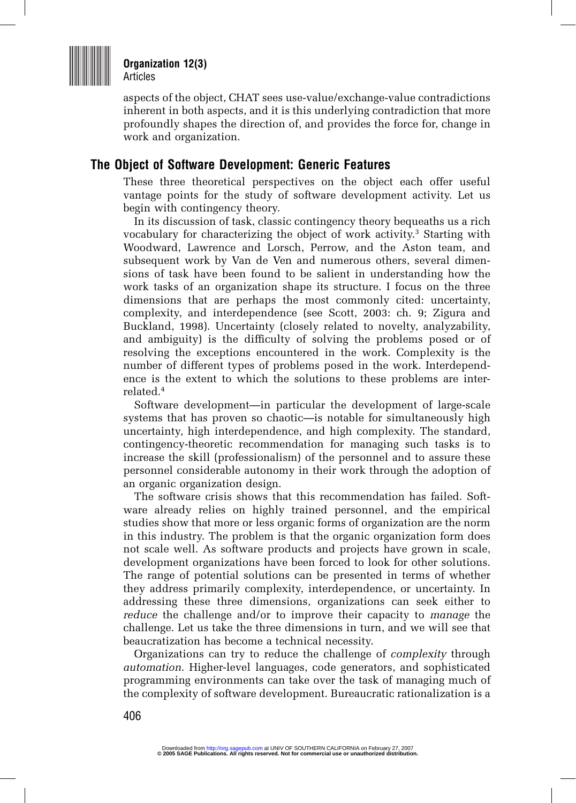

aspects of the object, CHAT sees use-value/exchange-value contradictions inherent in both aspects, and it is this underlying contradiction that more profoundly shapes the direction of, and provides the force for, change in work and organization.

## **The Object of Software Development: Generic Features**

These three theoretical perspectives on the object each offer useful vantage points for the study of software development activity. Let us begin with contingency theory.

In its discussion of task, classic contingency theory bequeaths us a rich vocabulary for characterizing the object of work activity. <sup>3</sup> Starting with Woodward, Lawrence and Lorsch, Perrow, and the Aston team, and subsequent work by Van de Ven and numerous others, several dimensions of task have been found to be salient in understanding how the work tasks of an organization shape its structure. I focus on the three dimensions that are perhaps the most commonly cited: uncertainty, complexity, and interdependence (see Scott, 2003: ch. 9; Zigura and Buckland, 1998). Uncertainty (closely related to novelty, analyzability, and ambiguity) is the difficulty of solving the problems posed or of resolving the exceptions encountered in the work. Complexity is the number of different types of problems posed in the work. Interdependence is the extent to which the solutions to these problems are interrelated.4

Software development—in particular the development of large-scale systems that has proven so chaotic—is notable for simultaneously high uncertainty, high interdependence, and high complexity. The standard, contingency-theoretic recommendation for managing such tasks is to increase the skill (professionalism) of the personnel and to assure these personnel considerable autonomy in their work through the adoption of an organic organization design.

The software crisis shows that this recommendation has failed. Software already relies on highly trained personnel, and the empirical studies show that more or less organic forms of organization are the norm in this industry. The problem is that the organic organization form does not scale well. As software products and projects have grown in scale, development organizations have been forced to look for other solutions. The range of potential solutions can be presented in terms of whether they address primarily complexity, interdependence, or uncertainty. In addressing these three dimensions, organizations can seek either to *reduce* the challenge and/or to improve their capacity to *manage* the challenge. Let us take the three dimensions in turn, and we will see that beaucratization has become a technical necessity.

Organizations can try to reduce the challenge of *complexity* through *automation*. Higher-level languages, code generators, and sophisticated programming environments can take over the task of managing much of the complexity of software development. Bureaucratic rationalization is a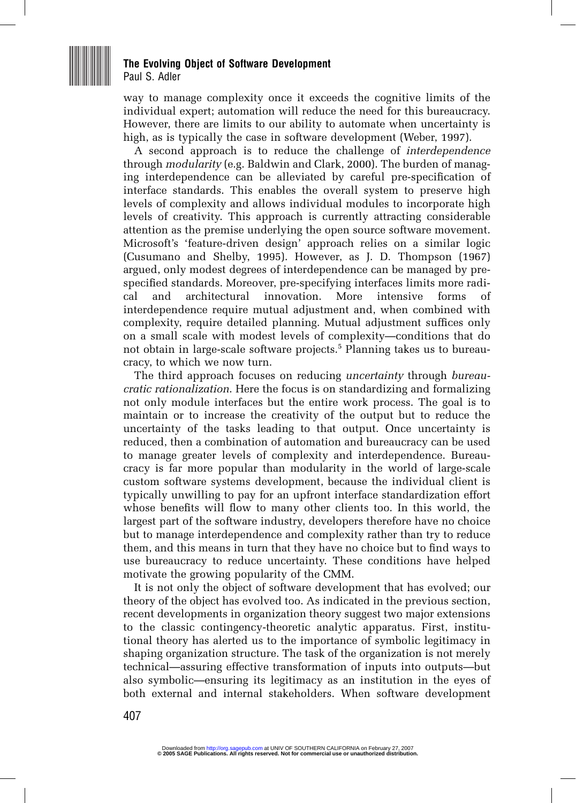

way to manage complexity once it exceeds the cognitive limits of the individual expert; automation will reduce the need for this bureaucracy. However, there are limits to our ability to automate when uncertainty is high, as is typically the case in software development (Weber, 1997).

A second approach is to reduce the challenge of *interdependence* through *modularity* (e.g. Baldwin and Clark, 2000). The burden of managing interdependence can be alleviated by careful pre-specification of interface standards. This enables the overall system to preserve high levels of complexity and allows individual modules to incorporate high levels of creativity. This approach is currently attracting considerable attention as the premise underlying the open source software movement. Microsoft's 'feature-driven design' approach relies on a similar logic (Cusumano and Shelby, 1995). However, as J. D. Thompson (1967) argued, only modest degrees of interdependence can be managed by prespecified standards. Moreover, pre-specifying interfaces limits more radical and architectural innovation. More intensive forms of interdependence require mutual adjustment and, when combined with complexity, require detailed planning. Mutual adjustment suffices only on a small scale with modest levels of complexity—conditions that do not obtain in large-scale software projects.<sup>5</sup> Planning takes us to bureaucracy, to which we now turn.

The third approach focuses on reducing *uncertainty* through *bureaucratic rationalization*. Here the focus is on standardizing and formalizing not only module interfaces but the entire work process. The goal is to maintain or to increase the creativity of the output but to reduce the uncertainty of the tasks leading to that output. Once uncertainty is reduced, then a combination of automation and bureaucracy can be used to manage greater levels of complexity and interdependence. Bureaucracy is far more popular than modularity in the world of large-scale custom software systems development, because the individual client is typically unwilling to pay for an upfront interface standardization effort whose benefits will flow to many other clients too. In this world, the largest part of the software industry, developers therefore have no choice but to manage interdependence and complexity rather than try to reduce them, and this means in turn that they have no choice but to find ways to use bureaucracy to reduce uncertainty. These conditions have helped motivate the growing popularity of the CMM.

It is not only the object of software development that has evolved; our theory of the object has evolved too. As indicated in the previous section, recent developments in organization theory suggest two major extensions to the classic contingency-theoretic analytic apparatus. First, institutional theory has alerted us to the importance of symbolic legitimacy in shaping organization structure. The task of the organization is not merely technical—assuring effective transformation of inputs into outputs—but also symbolic—ensuring its legitimacy as an institution in the eyes of both external and internal stakeholders. When software development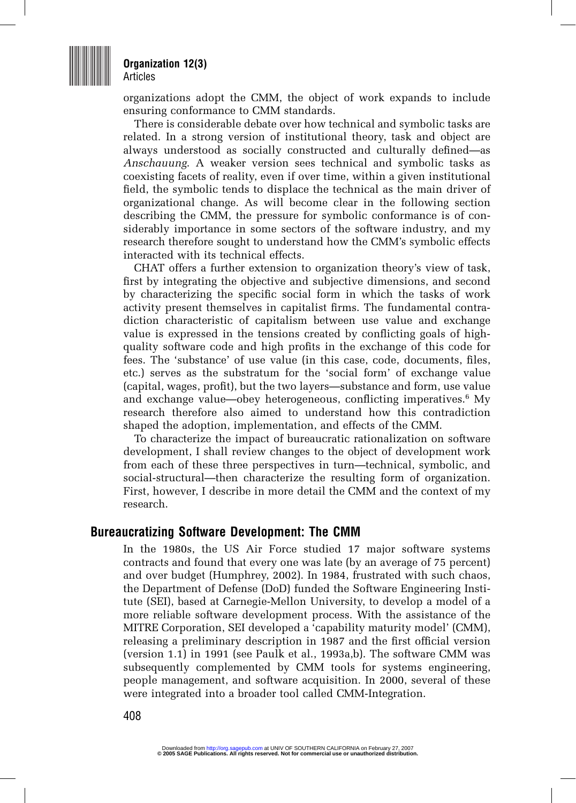

organizations adopt the CMM, the object of work expands to include ensuring conformance to CMM standards.

There is considerable debate over how technical and symbolic tasks are related. In a strong version of institutional theory, task and object are always understood as socially constructed and culturally defined—as *Anschauung*. A weaker version sees technical and symbolic tasks as coexisting facets of reality, even if over time, within a given institutional field, the symbolic tends to displace the technical as the main driver of organizational change. As will become clear in the following section describing the CMM, the pressure for symbolic conformance is of considerably importance in some sectors of the software industry, and my research therefore sought to understand how the CMM's symbolic effects interacted with its technical effects.

CHAT offers a further extension to organization theory's view of task, first by integrating the objective and subjective dimensions, and second by characterizing the specific social form in which the tasks of work activity present themselves in capitalist firms. The fundamental contradiction characteristic of capitalism between use value and exchange value is expressed in the tensions created by conflicting goals of highquality software code and high profits in the exchange of this code for fees. The 'substance' of use value (in this case, code, documents, files, etc.) serves as the substratum for the 'social form' of exchange value (capital, wages, profit), but the two layers—substance and form, use value and exchange value—obey heterogeneous, conflicting imperatives.<sup>6</sup> My research therefore also aimed to understand how this contradiction shaped the adoption, implementation, and effects of the CMM.

To characterize the impact of bureaucratic rationalization on software development, I shall review changes to the object of development work from each of these three perspectives in turn—technical, symbolic, and social-structural—then characterize the resulting form of organization. First, however, I describe in more detail the CMM and the context of my research.

## **Bureaucratizing Software Development: The CMM**

In the 1980s, the US Air Force studied 17 major software systems contracts and found that every one was late (by an average of 75 percent) and over budget (Humphrey, 2002). In 1984, frustrated with such chaos, the Department of Defense (DoD) funded the Software Engineering Institute (SEI), based at Carnegie-Mellon University, to develop a model of a more reliable software development process. With the assistance of the MITRE Corporation, SEI developed a 'capability maturity model' (CMM), releasing a preliminary description in 1987 and the first official version (version 1.1) in 1991 (see Paulk et al., 1993a,b). The software CMM was subsequently complemented by CMM tools for systems engineering, people management, and software acquisition. In 2000, several of these were integrated into a broader tool called CMM-Integration.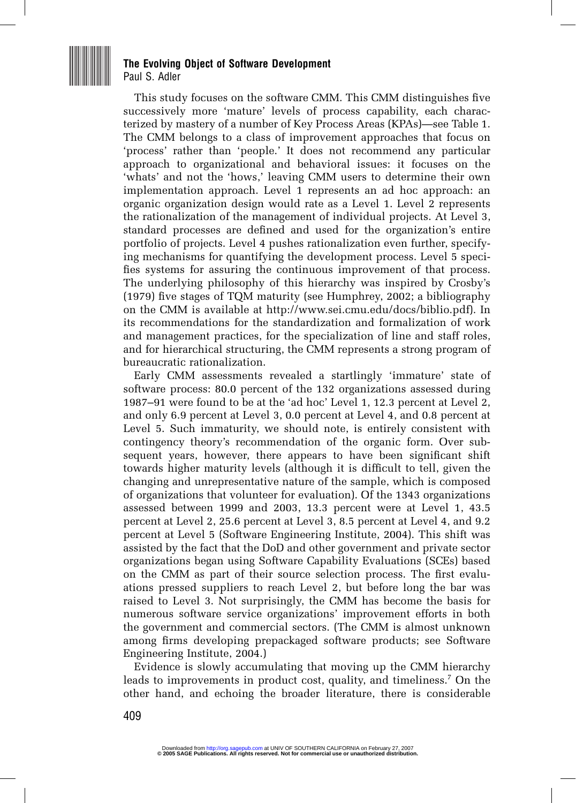

This study focuses on the software CMM. This CMM distinguishes five successively more 'mature' levels of process capability, each characterized by mastery of a number of Key Process Areas (KPAs)—see Table 1. The CMM belongs to a class of improvement approaches that focus on 'process' rather than 'people.' It does not recommend any particular approach to organizational and behavioral issues: it focuses on the 'whats' and not the 'hows,' leaving CMM users to determine their own implementation approach. Level 1 represents an ad hoc approach: an organic organization design would rate as a Level 1. Level 2 represents the rationalization of the management of individual projects. At Level 3, standard processes are defined and used for the organization's entire portfolio of projects. Level 4 pushes rationalization even further, specifying mechanisms for quantifying the development process. Level 5 specifies systems for assuring the continuous improvement of that process. The underlying philosophy of this hierarchy was inspired by Crosby's (1979) five stages of TQM maturity (see Humphrey, 2002; a bibliography on the CMM is available at http://www.sei.cmu.edu/docs/biblio.pdf). In its recommendations for the standardization and formalization of work and management practices, for the specialization of line and staff roles, and for hierarchical structuring, the CMM represents a strong program of bureaucratic rationalization.

Early CMM assessments revealed a startlingly 'immature' state of software process: 80.0 percent of the 132 organizations assessed during 1987–91 were found to be at the 'ad hoc' Level 1, 12.3 percent at Level 2, and only 6.9 percent at Level 3, 0.0 percent at Level 4, and 0.8 percent at Level 5. Such immaturity, we should note, is entirely consistent with contingency theory's recommendation of the organic form. Over subsequent years, however, there appears to have been significant shift towards higher maturity levels (although it is difficult to tell, given the changing and unrepresentative nature of the sample, which is composed of organizations that volunteer for evaluation). Of the 1343 organizations assessed between 1999 and 2003, 13.3 percent were at Level 1, 43.5 percent at Level 2, 25.6 percent at Level 3, 8.5 percent at Level 4, and 9.2 percent at Level 5 (Software Engineering Institute, 2004). This shift was assisted by the fact that the DoD and other government and private sector organizations began using Software Capability Evaluations (SCEs) based on the CMM as part of their source selection process. The first evaluations pressed suppliers to reach Level 2, but before long the bar was raised to Level 3. Not surprisingly, the CMM has become the basis for numerous software service organizations' improvement efforts in both the government and commercial sectors. (The CMM is almost unknown among firms developing prepackaged software products; see Software Engineering Institute, 2004.)

Evidence is slowly accumulating that moving up the CMM hierarchy leads to improvements in product cost, quality, and timeliness.<sup>7</sup> On the other hand, and echoing the broader literature, there is considerable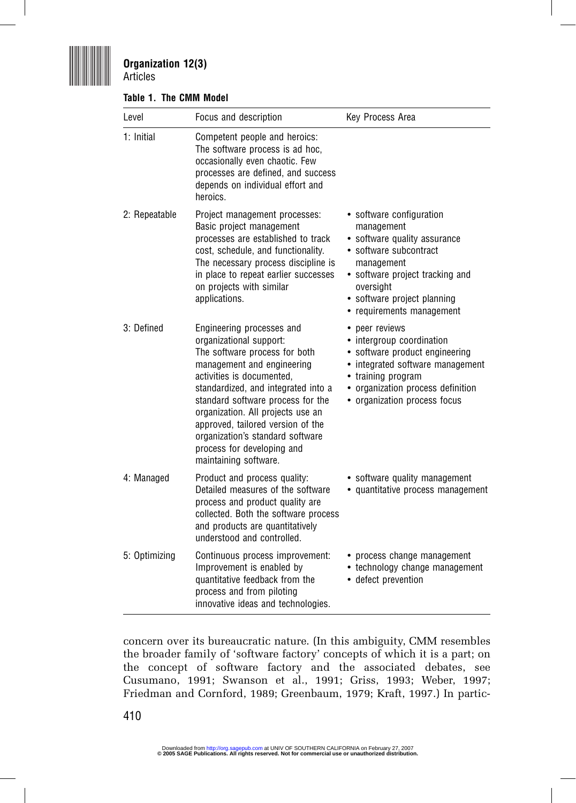#### **Table 1. The CMM Model**

| Level         | Focus and description                                                                                                                                                                                                                                                                                                                                                                             | Key Process Area                                                                                                                                                                                                         |
|---------------|---------------------------------------------------------------------------------------------------------------------------------------------------------------------------------------------------------------------------------------------------------------------------------------------------------------------------------------------------------------------------------------------------|--------------------------------------------------------------------------------------------------------------------------------------------------------------------------------------------------------------------------|
| $1:$ Initial  | Competent people and heroics:<br>The software process is ad hoc,<br>occasionally even chaotic. Few<br>processes are defined, and success<br>depends on individual effort and<br>heroics.                                                                                                                                                                                                          |                                                                                                                                                                                                                          |
| 2: Repeatable | Project management processes:<br>Basic project management<br>processes are established to track<br>cost, schedule, and functionality.<br>The necessary process discipline is<br>in place to repeat earlier successes<br>on projects with similar<br>applications.                                                                                                                                 | • software configuration<br>management<br>• software quality assurance<br>• software subcontract<br>management<br>• software project tracking and<br>oversight<br>• software project planning<br>requirements management |
| 3: Defined    | Engineering processes and<br>organizational support:<br>The software process for both<br>management and engineering<br>activities is documented,<br>standardized, and integrated into a<br>standard software process for the<br>organization. All projects use an<br>approved, tailored version of the<br>organization's standard software<br>process for developing and<br>maintaining software. | peer reviews<br>• intergroup coordination<br>• software product engineering<br>• integrated software management<br>• training program<br>• organization process definition<br>• organization process focus               |
| 4: Managed    | Product and process quality:<br>Detailed measures of the software<br>process and product quality are<br>collected. Both the software process<br>and products are quantitatively<br>understood and controlled.                                                                                                                                                                                     | • software quality management<br>• quantitative process management                                                                                                                                                       |
| 5: Optimizing | Continuous process improvement:<br>Improvement is enabled by<br>quantitative feedback from the<br>process and from piloting<br>innovative ideas and technologies.                                                                                                                                                                                                                                 | • process change management<br>• technology change management<br>• defect prevention                                                                                                                                     |

concern over its bureaucratic nature. (In this ambiguity, CMM resembles the broader family of 'software factory' concepts of which it is a part; on the concept of software factory and the associated debates, see Cusumano, 1991; Swanson et al., 1991; Griss, 1993; Weber, 1997; Friedman and Cornford, 1989; Greenbaum, 1979; Kraft, 1997.) In partic-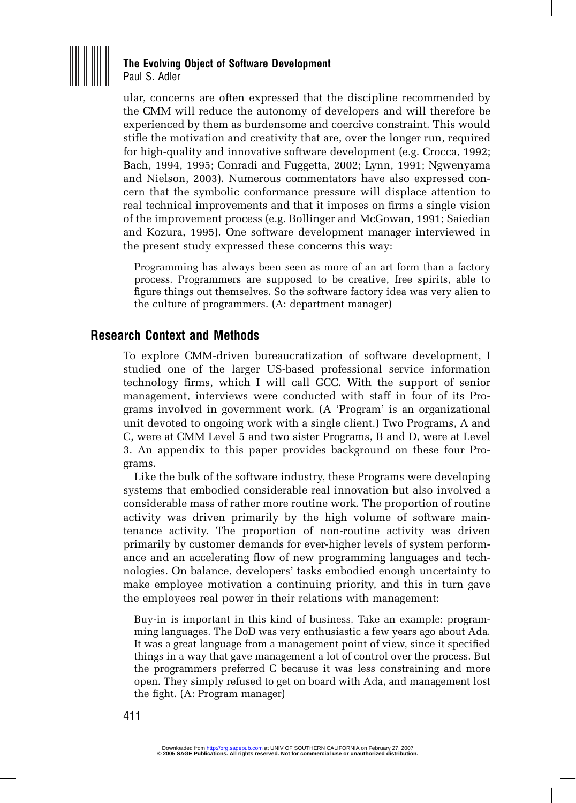

ular, concerns are often expressed that the discipline recommended by the CMM will reduce the autonomy of developers and will therefore be experienced by them as burdensome and coercive constraint. This would stifle the motivation and creativity that are, over the longer run, required for high-quality and innovative software development (e.g. Crocca, 1992; Bach, 1994, 1995; Conradi and Fuggetta, 2002; Lynn, 1991; Ngwenyama and Nielson, 2003). Numerous commentators have also expressed concern that the symbolic conformance pressure will displace attention to real technical improvements and that it imposes on firms a single vision of the improvement process (e.g. Bollinger and McGowan, 1991; Saiedian and Kozura, 1995). One software development manager interviewed in the present study expressed these concerns this way:

Programming has always been seen as more of an art form than a factory process. Programmers are supposed to be creative, free spirits, able to figure things out themselves. So the software factory idea was very alien to the culture of programmers. (A: department manager)

## **Research Context and Methods**

To explore CMM-driven bureaucratization of software development, I studied one of the larger US-based professional service information technology firms, which I will call GCC. With the support of senior management, interviews were conducted with staff in four of its Programs involved in government work. (A 'Program' is an organizational unit devoted to ongoing work with a single client.) Two Programs, A and C, were at CMM Level 5 and two sister Programs, B and D, were at Level 3. An appendix to this paper provides background on these four Programs.

Like the bulk of the software industry, these Programs were developing systems that embodied considerable real innovation but also involved a considerable mass of rather more routine work. The proportion of routine activity was driven primarily by the high volume of software maintenance activity. The proportion of non-routine activity was driven primarily by customer demands for ever-higher levels of system performance and an accelerating flow of new programming languages and technologies. On balance, developers' tasks embodied enough uncertainty to make employee motivation a continuing priority, and this in turn gave the employees real power in their relations with management:

Buy-in is important in this kind of business. Take an example: programming languages. The DoD was very enthusiastic a few years ago about Ada. It was a great language from a management point of view, since it specified things in a way that gave management a lot of control over the process. But the programmers preferred C because it was less constraining and more open. They simply refused to get on board with Ada, and management lost the fight. (A: Program manager)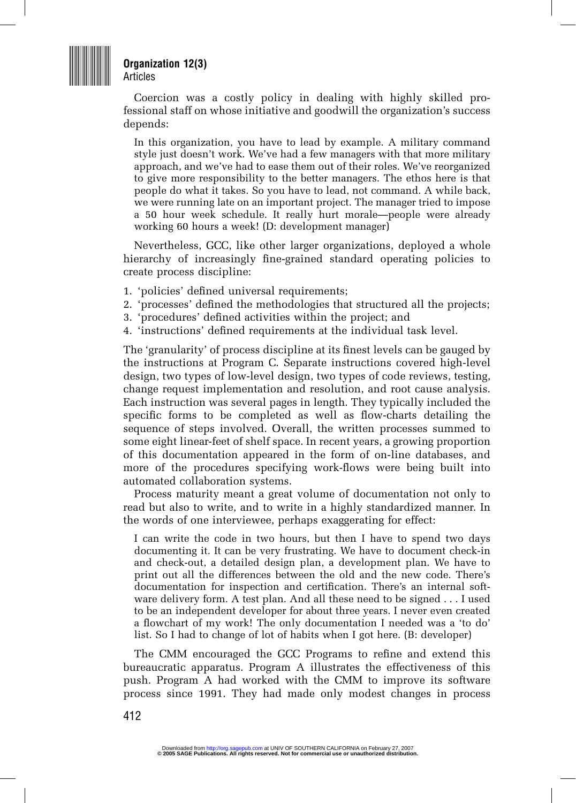

Coercion was a costly policy in dealing with highly skilled professional staff on whose initiative and goodwill the organization's success depends:

In this organization, you have to lead by example. A military command style just doesn't work. We've had a few managers with that more military approach, and we've had to ease them out of their roles. We've reorganized to give more responsibility to the better managers. The ethos here is that people do what it takes. So you have to lead, not command. A while back, we were running late on an important project. The manager tried to impose a 50 hour week schedule. It really hurt morale—people were already working 60 hours a week! (D: development manager)

Nevertheless, GCC, like other larger organizations, deployed a whole hierarchy of increasingly fine-grained standard operating policies to create process discipline:

- 1. 'policies' defined universal requirements;
- 2. 'processes' defined the methodologies that structured all the projects;
- 3. 'procedures' defined activities within the project; and
- 4. 'instructions' defined requirements at the individual task level.

The 'granularity' of process discipline at its finest levels can be gauged by the instructions at Program C. Separate instructions covered high-level design, two types of low-level design, two types of code reviews, testing, change request implementation and resolution, and root cause analysis. Each instruction was several pages in length. They typically included the specific forms to be completed as well as flow-charts detailing the sequence of steps involved. Overall, the written processes summed to some eight linear-feet of shelf space. In recent years, a growing proportion of this documentation appeared in the form of on-line databases, and more of the procedures specifying work-flows were being built into automated collaboration systems.

Process maturity meant a great volume of documentation not only to read but also to write, and to write in a highly standardized manner. In the words of one interviewee, perhaps exaggerating for effect:

I can write the code in two hours, but then I have to spend two days documenting it. It can be very frustrating. We have to document check-in and check-out, a detailed design plan, a development plan. We have to print out all the differences between the old and the new code. There's documentation for inspection and certification. There's an internal software delivery form. A test plan. And all these need to be signed . . . I used to be an independent developer for about three years. I never even created a flowchart of my work! The only documentation I needed was a 'to do' list. So I had to change of lot of habits when I got here. (B: developer)

The CMM encouraged the GCC Programs to refine and extend this bureaucratic apparatus. Program A illustrates the effectiveness of this push. Program A had worked with the CMM to improve its software process since 1991. They had made only modest changes in process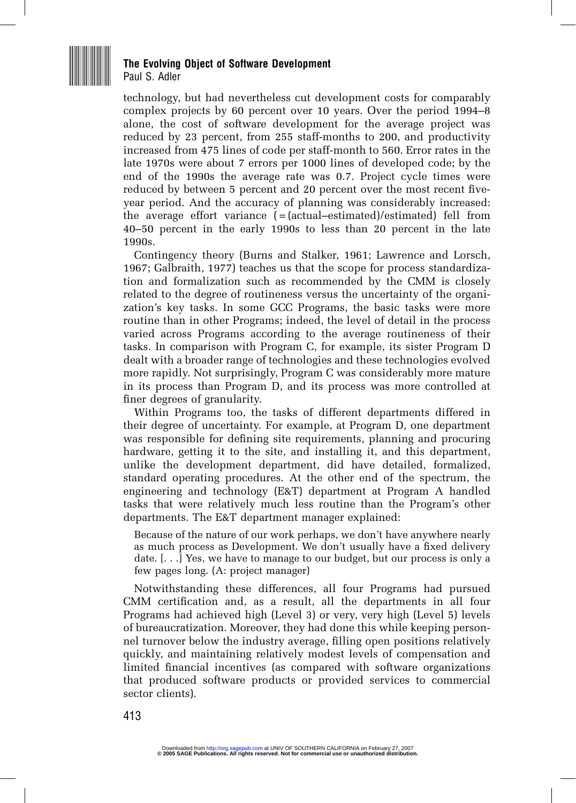

technology, but had nevertheless cut development costs for comparably complex projects by 60 percent over 10 years. Over the period 1994–8 alone, the cost of software development for the average project was reduced by 23 percent, from 255 staff-months to 200, and productivity increased from 475 lines of code per staff-month to 560. Error rates in the late 1970s were about 7 errors per 1000 lines of developed code; by the end of the 1990s the average rate was 0.7. Project cycle times were reduced by between 5 percent and 20 percent over the most recent fiveyear period. And the accuracy of planning was considerably increased: the average effort variance ( = (actual–estimated)/estimated) fell from 40–50 percent in the early 1990s to less than 20 percent in the late 1990s.

Contingency theory (Burns and Stalker, 1961; Lawrence and Lorsch, 1967; Galbraith, 1977) teaches us that the scope for process standardization and formalization such as recommended by the CMM is closely related to the degree of routineness versus the uncertainty of the organization's key tasks. In some GCC Programs, the basic tasks were more routine than in other Programs; indeed, the level of detail in the process varied across Programs according to the average routineness of their tasks. In comparison with Program C, for example, its sister Program D dealt with a broader range of technologies and these technologies evolved more rapidly. Not surprisingly, Program C was considerably more mature in its process than Program D, and its process was more controlled at finer degrees of granularity.

Within Programs too, the tasks of different departments differed in their degree of uncertainty. For example, at Program D, one department was responsible for defining site requirements, planning and procuring hardware, getting it to the site, and installing it, and this department, unlike the development department, did have detailed, formalized, standard operating procedures. At the other end of the spectrum, the engineering and technology (E&T) department at Program A handled tasks that were relatively much less routine than the Program's other departments. The E&T department manager explained:

Because of the nature of our work perhaps, we don't have anywhere nearly as much process as Development. We don't usually have a fixed delivery date. [. . .] Yes, we have to manage to our budget, but our process is only a few pages long. (A: project manager)

Notwithstanding these differences, all four Programs had pursued CMM certification and, as a result, all the departments in all four Programs had achieved high (Level 3) or very, very high (Level 5) levels of bureaucratization. Moreover, they had done this while keeping personnel turnover below the industry average, filling open positions relatively quickly, and maintaining relatively modest levels of compensation and limited financial incentives (as compared with software organizations that produced software products or provided services to commercial sector clients).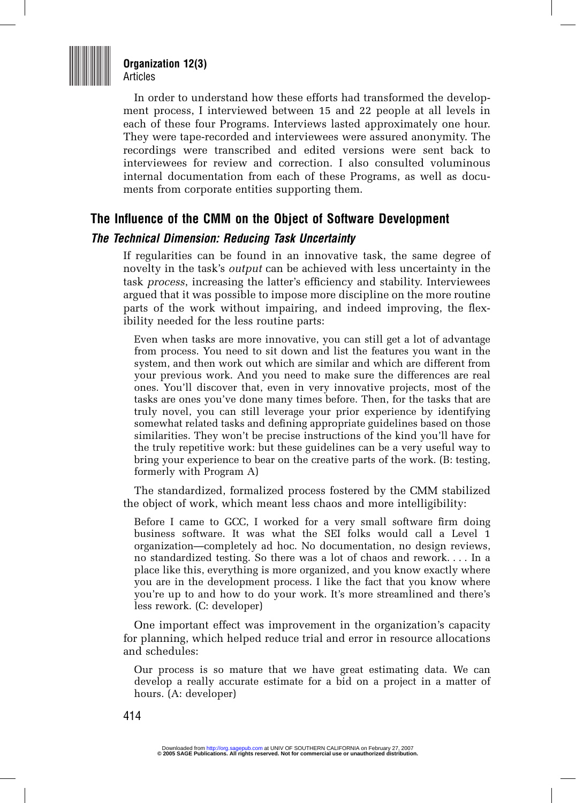

In order to understand how these efforts had transformed the development process, I interviewed between 15 and 22 people at all levels in each of these four Programs. Interviews lasted approximately one hour. They were tape-recorded and interviewees were assured anonymity. The recordings were transcribed and edited versions were sent back to interviewees for review and correction. I also consulted voluminous internal documentation from each of these Programs, as well as documents from corporate entities supporting them.

## **The Influence of the CMM on the Object of Software Development**

## **The Technical Dimension: Reducing Task Uncertainty**

If regularities can be found in an innovative task, the same degree of novelty in the task's *output* can be achieved with less uncertainty in the task *process*, increasing the latter's efficiency and stability. Interviewees argued that it was possible to impose more discipline on the more routine parts of the work without impairing, and indeed improving, the flexibility needed for the less routine parts:

Even when tasks are more innovative, you can still get a lot of advantage from process. You need to sit down and list the features you want in the system, and then work out which are similar and which are different from your previous work. And you need to make sure the differences are real ones. You'll discover that, even in very innovative projects, most of the tasks are ones you've done many times before. Then, for the tasks that are truly novel, you can still leverage your prior experience by identifying somewhat related tasks and defining appropriate guidelines based on those similarities. They won't be precise instructions of the kind you'll have for the truly repetitive work: but these guidelines can be a very useful way to bring your experience to bear on the creative parts of the work. (B: testing, formerly with Program A)

The standardized, formalized process fostered by the CMM stabilized the object of work, which meant less chaos and more intelligibility:

Before I came to GCC, I worked for a very small software firm doing business software. It was what the SEI folks would call a Level 1 organization—completely ad hoc. No documentation, no design reviews, no standardized testing. So there was a lot of chaos and rework. . . . In a place like this, everything is more organized, and you know exactly where you are in the development process. I like the fact that you know where you're up to and how to do your work. It's more streamlined and there's less rework. (C: developer)

One important effect was improvement in the organization's capacity for planning, which helped reduce trial and error in resource allocations and schedules:

Our process is so mature that we have great estimating data. We can develop a really accurate estimate for a bid on a project in a matter of hours. (A: developer)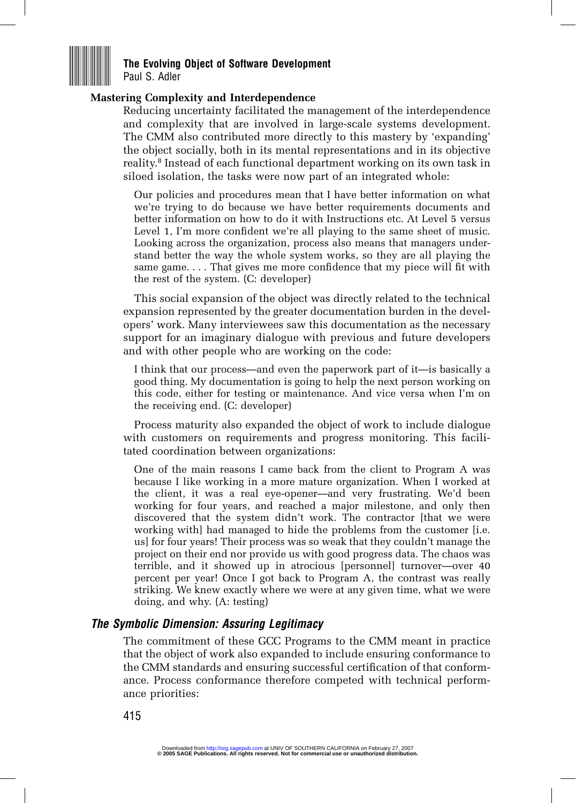

#### **Mastering Complexity and Interdependence**

Reducing uncertainty facilitated the management of the interdependence and complexity that are involved in large-scale systems development. The CMM also contributed more directly to this mastery by 'expanding' the object socially, both in its mental representations and in its objective reality. <sup>8</sup> Instead of each functional department working on its own task in siloed isolation, the tasks were now part of an integrated whole:

Our policies and procedures mean that I have better information on what we're trying to do because we have better requirements documents and better information on how to do it with Instructions etc. At Level 5 versus Level 1, I'm more confident we're all playing to the same sheet of music. Looking across the organization, process also means that managers understand better the way the whole system works, so they are all playing the same game. . . . That gives me more confidence that my piece will fit with the rest of the system. (C: developer)

This social expansion of the object was directly related to the technical expansion represented by the greater documentation burden in the developers' work. Many interviewees saw this documentation as the necessary support for an imaginary dialogue with previous and future developers and with other people who are working on the code:

I think that our process—and even the paperwork part of it—is basically a good thing. My documentation is going to help the next person working on this code, either for testing or maintenance. And vice versa when I'm on the receiving end. (C: developer)

Process maturity also expanded the object of work to include dialogue with customers on requirements and progress monitoring. This facilitated coordination between organizations:

One of the main reasons I came back from the client to Program A was because I like working in a more mature organization. When I worked at the client, it was a real eye-opener—and very frustrating. We'd been working for four years, and reached a major milestone, and only then discovered that the system didn't work. The contractor [that we were working with] had managed to hide the problems from the customer [i.e. us] for four years! Their process was so weak that they couldn't manage the project on their end nor provide us with good progress data. The chaos was terrible, and it showed up in atrocious [personnel] turnover—over 40 percent per year! Once I got back to Program A, the contrast was really striking. We knew exactly where we were at any given time, what we were doing, and why. (A: testing)

#### **The Symbolic Dimension: Assuring Legitimacy**

The commitment of these GCC Programs to the CMM meant in practice that the object of work also expanded to include ensuring conformance to the CMM standards and ensuring successful certification of that conformance. Process conformance therefore competed with technical performance priorities: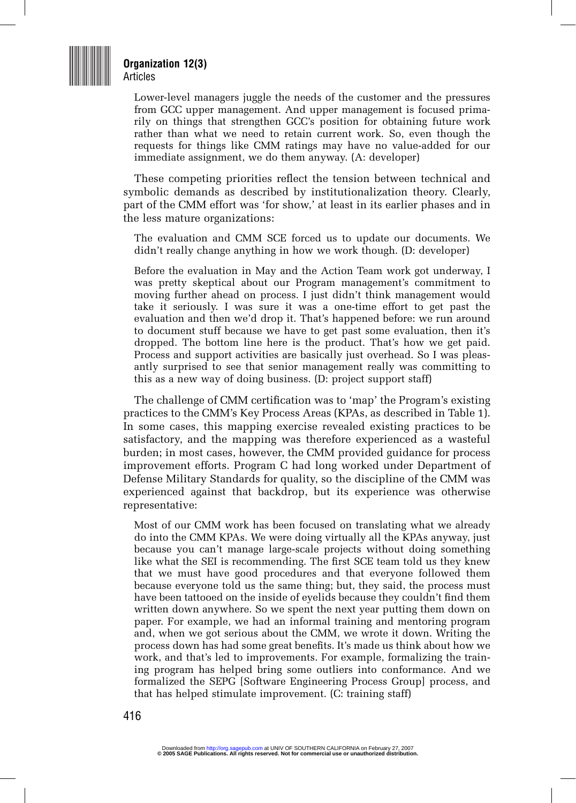

Lower-level managers juggle the needs of the customer and the pressures from GCC upper management. And upper management is focused primarily on things that strengthen GCC's position for obtaining future work rather than what we need to retain current work. So, even though the requests for things like CMM ratings may have no value-added for our immediate assignment, we do them anyway. (A: developer)

These competing priorities reflect the tension between technical and symbolic demands as described by institutionalization theory. Clearly, part of the CMM effort was 'for show,' at least in its earlier phases and in the less mature organizations:

The evaluation and CMM SCE forced us to update our documents. We didn't really change anything in how we work though. (D: developer)

Before the evaluation in May and the Action Team work got underway, I was pretty skeptical about our Program management's commitment to moving further ahead on process. I just didn't think management would take it seriously. I was sure it was a one-time effort to get past the evaluation and then we'd drop it. That's happened before: we run around to document stuff because we have to get past some evaluation, then it's dropped. The bottom line here is the product. That's how we get paid. Process and support activities are basically just overhead. So I was pleasantly surprised to see that senior management really was committing to this as a new way of doing business. (D: project support staff)

The challenge of CMM certification was to 'map' the Program's existing practices to the CMM's Key Process Areas (KPAs, as described in Table 1). In some cases, this mapping exercise revealed existing practices to be satisfactory, and the mapping was therefore experienced as a wasteful burden; in most cases, however, the CMM provided guidance for process improvement efforts. Program C had long worked under Department of Defense Military Standards for quality, so the discipline of the CMM was experienced against that backdrop, but its experience was otherwise representative:

Most of our CMM work has been focused on translating what we already do into the CMM KPAs. We were doing virtually all the KPAs anyway, just because you can't manage large-scale projects without doing something like what the SEI is recommending. The first SCE team told us they knew that we must have good procedures and that everyone followed them because everyone told us the same thing; but, they said, the process must have been tattooed on the inside of eyelids because they couldn't find them written down anywhere. So we spent the next year putting them down on paper. For example, we had an informal training and mentoring program and, when we got serious about the CMM, we wrote it down. Writing the process down has had some great benefits. It's made us think about how we work, and that's led to improvements. For example, formalizing the training program has helped bring some outliers into conformance. And we formalized the SEPG [Software Engineering Process Group] process, and that has helped stimulate improvement. (C: training staff)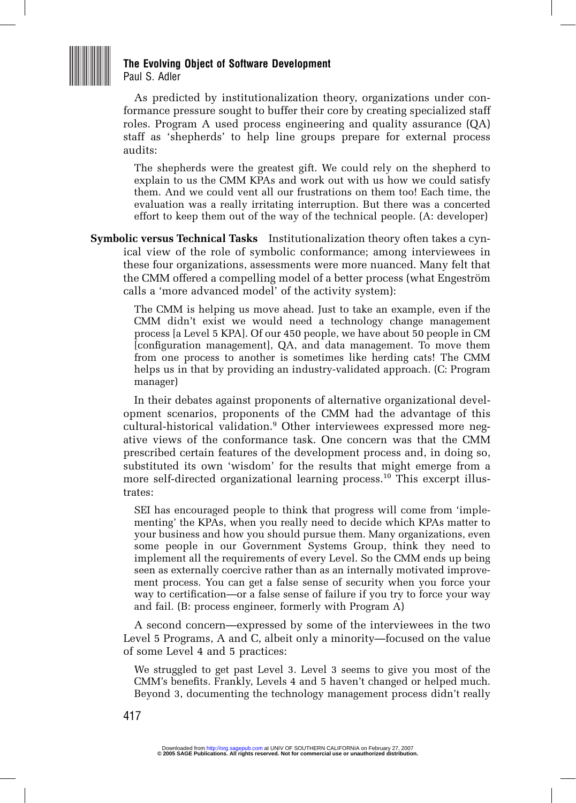

As predicted by institutionalization theory, organizations under conformance pressure sought to buffer their core by creating specialized staff roles. Program A used process engineering and quality assurance (QA) staff as 'shepherds' to help line groups prepare for external process audits:

The shepherds were the greatest gift. We could rely on the shepherd to explain to us the CMM KPAs and work out with us how we could satisfy them. And we could vent all our frustrations on them too! Each time, the evaluation was a really irritating interruption. But there was a concerted effort to keep them out of the way of the technical people. (A: developer)

**Symbolic versus Technical Tasks** Institutionalization theory often takes a cynical view of the role of symbolic conformance; among interviewees in these four organizations, assessments were more nuanced. Many felt that the CMM offered a compelling model of a better process (what Engeström calls a 'more advanced model' of the activity system):

> The CMM is helping us move ahead. Just to take an example, even if the CMM didn't exist we would need a technology change management process [a Level 5 KPA]. Of our 450 people, we have about 50 people in CM [configuration management], QA, and data management. To move them from one process to another is sometimes like herding cats! The CMM helps us in that by providing an industry-validated approach. (C: Program manager)

In their debates against proponents of alternative organizational development scenarios, proponents of the CMM had the advantage of this cultural-historical validation.<sup>9</sup> Other interviewees expressed more negative views of the conformance task. One concern was that the CMM prescribed certain features of the development process and, in doing so, substituted its own 'wisdom' for the results that might emerge from a more self-directed organizational learning process.<sup>10</sup> This excerpt illustrates:

SEI has encouraged people to think that progress will come from 'implementing' the KPAs, when you really need to decide which KPAs matter to your business and how you should pursue them. Many organizations, even some people in our Government Systems Group, think they need to implement all the requirements of every Level. So the CMM ends up being seen as externally coercive rather than as an internally motivated improvement process. You can get a false sense of security when you force your way to certification—or a false sense of failure if you try to force your way and fail. (B: process engineer, formerly with Program A)

A second concern—expressed by some of the interviewees in the two Level 5 Programs, A and C, albeit only a minority—focused on the value of some Level 4 and 5 practices:

We struggled to get past Level 3. Level 3 seems to give you most of the CMM's benefits. Frankly, Levels 4 and 5 haven't changed or helped much. Beyond 3, documenting the technology management process didn't really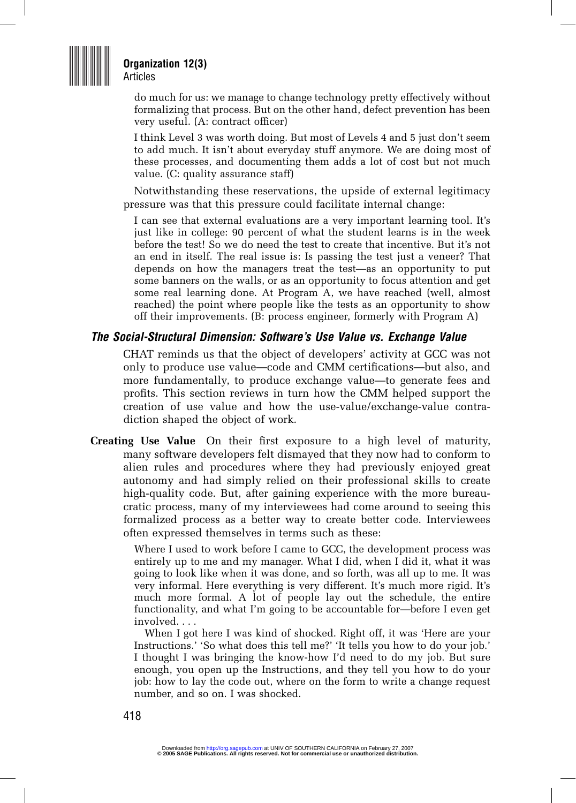

do much for us: we manage to change technology pretty effectively without formalizing that process. But on the other hand, defect prevention has been very useful. (A: contract officer)

I think Level 3 was worth doing. But most of Levels 4 and 5 just don't seem to add much. It isn't about everyday stuff anymore. We are doing most of these processes, and documenting them adds a lot of cost but not much value. (C: quality assurance staff)

Notwithstanding these reservations, the upside of external legitimacy pressure was that this pressure could facilitate internal change:

I can see that external evaluations are a very important learning tool. It's just like in college: 90 percent of what the student learns is in the week before the test! So we do need the test to create that incentive. But it's not an end in itself. The real issue is: Is passing the test just a veneer? That depends on how the managers treat the test—as an opportunity to put some banners on the walls, or as an opportunity to focus attention and get some real learning done. At Program A, we have reached (well, almost reached) the point where people like the tests as an opportunity to show off their improvements. (B: process engineer, formerly with Program A)

## **The Social-Structural Dimension: Software's Use Value vs. Exchange Value**

CHAT reminds us that the object of developers' activity at GCC was not only to produce use value—code and CMM certifications—but also, and more fundamentally, to produce exchange value—to generate fees and profits. This section reviews in turn how the CMM helped support the creation of use value and how the use-value/exchange-value contradiction shaped the object of work.

**Creating Use Value** On their first exposure to a high level of maturity, many software developers felt dismayed that they now had to conform to alien rules and procedures where they had previously enjoyed great autonomy and had simply relied on their professional skills to create high-quality code. But, after gaining experience with the more bureaucratic process, many of my interviewees had come around to seeing this formalized process as a better way to create better code. Interviewees often expressed themselves in terms such as these:

> Where I used to work before I came to GCC, the development process was entirely up to me and my manager. What I did, when I did it, what it was going to look like when it was done, and so forth, was all up to me. It was very informal. Here everything is very different. It's much more rigid. It's much more formal. A lot of people lay out the schedule, the entire functionality, and what I'm going to be accountable for—before I even get involved. . . .

> When I got here I was kind of shocked. Right off, it was 'Here are your Instructions.' 'So what does this tell me?' 'It tells you how to do your job.' I thought I was bringing the know-how I'd need to do my job. But sure enough, you open up the Instructions, and they tell you how to do your job: how to lay the code out, where on the form to write a change request number, and so on. I was shocked.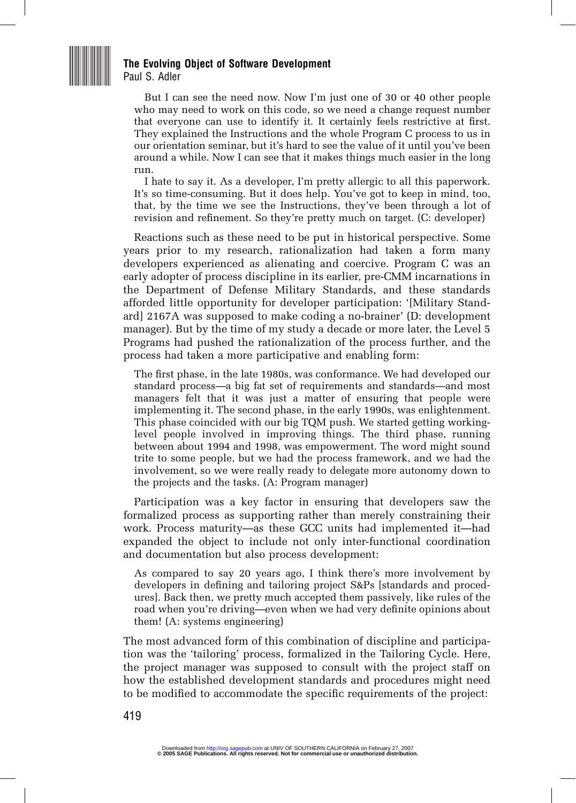

But I can see the need now. Now I'm just one of 30 or 40 other people who may need to work on this code, so we need a change request number that everyone can use to identify it. It certainly feels restrictive at first. They explained the Instructions and the whole Program C process to us in our orientation seminar, but it's hard to see the value of it until you've been around a while. Now I can see that it makes things much easier in the long run.

I hate to say it. As a developer, I'm pretty allergic to all this paperwork. It's so time-consuming. But it does help. You've got to keep in mind, too, that, by the time we see the Instructions, they've been through a lot of revision and refinement. So they're pretty much on target. (C: developer)

Reactions such as these need to be put in historical perspective. Some years prior to my research, rationalization had taken a form many developers experienced as alienating and coercive. Program C was an early adopter of process discipline in its earlier, pre-CMM incarnations in the Department of Defense Military Standards, and these standards afforded little opportunity for developer participation: '[Military Standard] 2167A was supposed to make coding a no-brainer' (D: development manager). But by the time of my study a decade or more later, the Level 5 Programs had pushed the rationalization of the process further, and the process had taken a more participative and enabling form:

The first phase, in the late 1980s, was conformance. We had developed our standard process—a big fat set of requirements and standards—and most managers felt that it was just a matter of ensuring that people were implementing it. The second phase, in the early 1990s, was enlightenment. This phase coincided with our big TQM push. We started getting workinglevel people involved in improving things. The third phase, running between about 1994 and 1998, was empowerment. The word might sound trite to some people, but we had the process framework, and we had the involvement, so we were really ready to delegate more autonomy down to the projects and the tasks. (A: Program manager)

Participation was a key factor in ensuring that developers saw the formalized process as supporting rather than merely constraining their work. Process maturity—as these GCC units had implemented it—had expanded the object to include not only inter-functional coordination and documentation but also process development:

As compared to say 20 years ago, I think there's more involvement by developers in defining and tailoring project S&Ps [standards and procedures]. Back then, we pretty much accepted them passively, like rules of the road when you're driving—even when we had very definite opinions about them! (A: systems engineering)

The most advanced form of this combination of discipline and participation was the 'tailoring' process, formalized in the Tailoring Cycle. Here, the project manager was supposed to consult with the project staff on how the established development standards and procedures might need to be modified to accommodate the specific requirements of the project: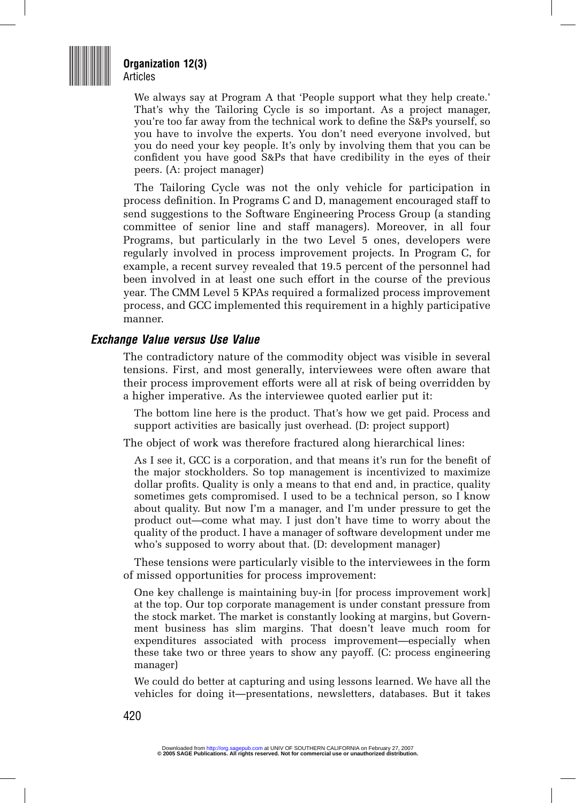

We always say at Program A that 'People support what they help create.' That's why the Tailoring Cycle is so important. As a project manager, you're too far away from the technical work to define the S&Ps yourself, so you have to involve the experts. You don't need everyone involved, but you do need your key people. It's only by involving them that you can be confident you have good S&Ps that have credibility in the eyes of their peers. (A: project manager)

The Tailoring Cycle was not the only vehicle for participation in process definition. In Programs C and D, management encouraged staff to send suggestions to the Software Engineering Process Group (a standing committee of senior line and staff managers). Moreover, in all four Programs, but particularly in the two Level 5 ones, developers were regularly involved in process improvement projects. In Program C, for example, a recent survey revealed that 19.5 percent of the personnel had been involved in at least one such effort in the course of the previous year. The CMM Level 5 KPAs required a formalized process improvement process, and GCC implemented this requirement in a highly participative manner.

### **Exchange Value versus Use Value**

The contradictory nature of the commodity object was visible in several tensions. First, and most generally, interviewees were often aware that their process improvement efforts were all at risk of being overridden by a higher imperative. As the interviewee quoted earlier put it:

The bottom line here is the product. That's how we get paid. Process and support activities are basically just overhead. (D: project support)

The object of work was therefore fractured along hierarchical lines:

As I see it, GCC is a corporation, and that means it's run for the benefit of the major stockholders. So top management is incentivized to maximize dollar profits. Quality is only a means to that end and, in practice, quality sometimes gets compromised. I used to be a technical person, so I know about quality. But now I'm a manager, and I'm under pressure to get the product out—come what may. I just don't have time to worry about the quality of the product. I have a manager of software development under me who's supposed to worry about that. (D: development manager)

These tensions were particularly visible to the interviewees in the form of missed opportunities for process improvement:

One key challenge is maintaining buy-in [for process improvement work] at the top. Our top corporate management is under constant pressure from the stock market. The market is constantly looking at margins, but Government business has slim margins. That doesn't leave much room for expenditures associated with process improvement—especially when these take two or three years to show any payoff. (C: process engineering manager)

We could do better at capturing and using lessons learned. We have all the vehicles for doing it—presentations, newsletters, databases. But it takes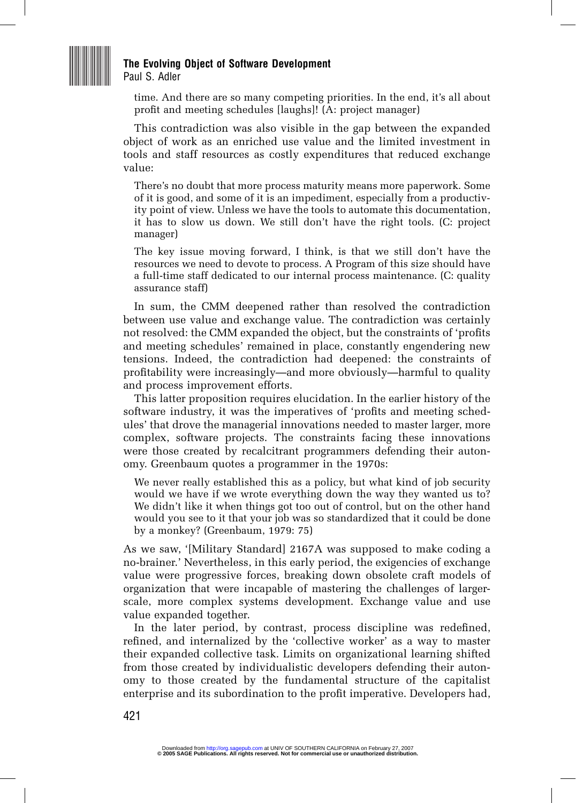

time. And there are so many competing priorities. In the end, it's all about profit and meeting schedules [laughs]! (A: project manager)

This contradiction was also visible in the gap between the expanded object of work as an enriched use value and the limited investment in tools and staff resources as costly expenditures that reduced exchange value:

There's no doubt that more process maturity means more paperwork. Some of it is good, and some of it is an impediment, especially from a productivity point of view. Unless we have the tools to automate this documentation, it has to slow us down. We still don't have the right tools. (C: project manager)

The key issue moving forward, I think, is that we still don't have the resources we need to devote to process. A Program of this size should have a full-time staff dedicated to our internal process maintenance. (C: quality assurance staff)

In sum, the CMM deepened rather than resolved the contradiction between use value and exchange value. The contradiction was certainly not resolved: the CMM expanded the object, but the constraints of 'profits and meeting schedules' remained in place, constantly engendering new tensions. Indeed, the contradiction had deepened: the constraints of profitability were increasingly—and more obviously—harmful to quality and process improvement efforts.

This latter proposition requires elucidation. In the earlier history of the software industry, it was the imperatives of 'profits and meeting schedules' that drove the managerial innovations needed to master larger, more complex, software projects. The constraints facing these innovations were those created by recalcitrant programmers defending their autonomy. Greenbaum quotes a programmer in the 1970s:

We never really established this as a policy, but what kind of job security would we have if we wrote everything down the way they wanted us to? We didn't like it when things got too out of control, but on the other hand would you see to it that your job was so standardized that it could be done by a monkey? (Greenbaum, 1979: 75)

As we saw, '[Military Standard] 2167A was supposed to make coding a no-brainer.' Nevertheless, in this early period, the exigencies of exchange value were progressive forces, breaking down obsolete craft models of organization that were incapable of mastering the challenges of largerscale, more complex systems development. Exchange value and use value expanded together.

In the later period, by contrast, process discipline was redefined, refined, and internalized by the 'collective worker' as a way to master their expanded collective task. Limits on organizational learning shifted from those created by individualistic developers defending their autonomy to those created by the fundamental structure of the capitalist enterprise and its subordination to the profit imperative. Developers had,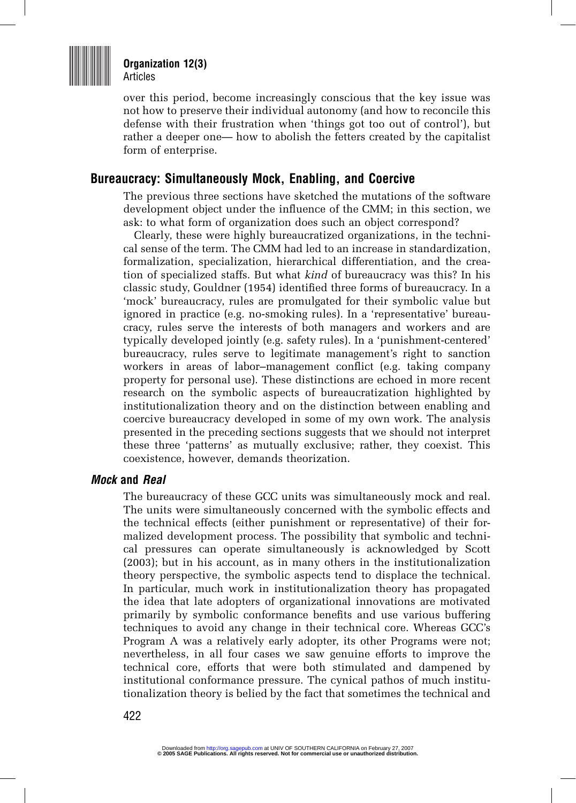

over this period, become increasingly conscious that the key issue was not how to preserve their individual autonomy (and how to reconcile this defense with their frustration when 'things got too out of control'), but rather a deeper one— how to abolish the fetters created by the capitalist form of enterprise.

## **Bureaucracy: Simultaneously Mock, Enabling, and Coercive**

The previous three sections have sketched the mutations of the software development object under the influence of the CMM; in this section, we ask: to what form of organization does such an object correspond?

Clearly, these were highly bureaucratized organizations, in the technical sense of the term. The CMM had led to an increase in standardization, formalization, specialization, hierarchical differentiation, and the creation of specialized staffs. But what *kind* of bureaucracy was this? In his classic study, Gouldner (1954) identified three forms of bureaucracy. In a 'mock' bureaucracy, rules are promulgated for their symbolic value but ignored in practice (e.g. no-smoking rules). In a 'representative' bureaucracy, rules serve the interests of both managers and workers and are typically developed jointly (e.g. safety rules). In a 'punishment-centered' bureaucracy, rules serve to legitimate management's right to sanction workers in areas of labor–management conflict (e.g. taking company property for personal use). These distinctions are echoed in more recent research on the symbolic aspects of bureaucratization highlighted by institutionalization theory and on the distinction between enabling and coercive bureaucracy developed in some of my own work. The analysis presented in the preceding sections suggests that we should not interpret these three 'patterns' as mutually exclusive; rather, they coexist. This coexistence, however, demands theorization.

## **Mock and Real**

The bureaucracy of these GCC units was simultaneously mock and real. The units were simultaneously concerned with the symbolic effects and the technical effects (either punishment or representative) of their formalized development process. The possibility that symbolic and technical pressures can operate simultaneously is acknowledged by Scott (2003); but in his account, as in many others in the institutionalization theory perspective, the symbolic aspects tend to displace the technical. In particular, much work in institutionalization theory has propagated the idea that late adopters of organizational innovations are motivated primarily by symbolic conformance benefits and use various buffering techniques to avoid any change in their technical core. Whereas GCC's Program A was a relatively early adopter, its other Programs were not; nevertheless, in all four cases we saw genuine efforts to improve the technical core, efforts that were both stimulated and dampened by institutional conformance pressure. The cynical pathos of much institutionalization theory is belied by the fact that sometimes the technical and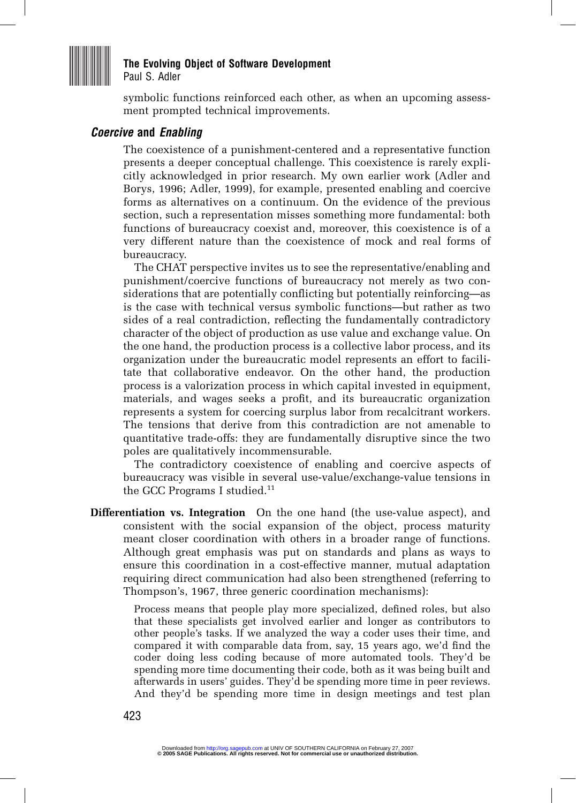

symbolic functions reinforced each other, as when an upcoming assessment prompted technical improvements.

## **Coercive and Enabling**

The coexistence of a punishment-centered and a representative function presents a deeper conceptual challenge. This coexistence is rarely explicitly acknowledged in prior research. My own earlier work (Adler and Borys, 1996; Adler, 1999), for example, presented enabling and coercive forms as alternatives on a continuum. On the evidence of the previous section, such a representation misses something more fundamental: both functions of bureaucracy coexist and, moreover, this coexistence is of a very different nature than the coexistence of mock and real forms of bureaucracy.

The CHAT perspective invites us to see the representative/enabling and punishment/coercive functions of bureaucracy not merely as two considerations that are potentially conflicting but potentially reinforcing—as is the case with technical versus symbolic functions—but rather as two sides of a real contradiction, reflecting the fundamentally contradictory character of the object of production as use value and exchange value. On the one hand, the production process is a collective labor process, and its organization under the bureaucratic model represents an effort to facilitate that collaborative endeavor. On the other hand, the production process is a valorization process in which capital invested in equipment, materials, and wages seeks a profit, and its bureaucratic organization represents a system for coercing surplus labor from recalcitrant workers. The tensions that derive from this contradiction are not amenable to quantitative trade-offs: they are fundamentally disruptive since the two poles are qualitatively incommensurable.

The contradictory coexistence of enabling and coercive aspects of bureaucracy was visible in several use-value/exchange-value tensions in the GCC Programs I studied. $11$ 

**Differentiation vs. Integration** On the one hand (the use-value aspect), and consistent with the social expansion of the object, process maturity meant closer coordination with others in a broader range of functions. Although great emphasis was put on standards and plans as ways to ensure this coordination in a cost-effective manner, mutual adaptation requiring direct communication had also been strengthened (referring to Thompson's, 1967, three generic coordination mechanisms):

> Process means that people play more specialized, defined roles, but also that these specialists get involved earlier and longer as contributors to other people's tasks. If we analyzed the way a coder uses their time, and compared it with comparable data from, say, 15 years ago, we'd find the coder doing less coding because of more automated tools. They'd be spending more time documenting their code, both as it was being built and afterwards in users' guides. They'd be spending more time in peer reviews. And they'd be spending more time in design meetings and test plan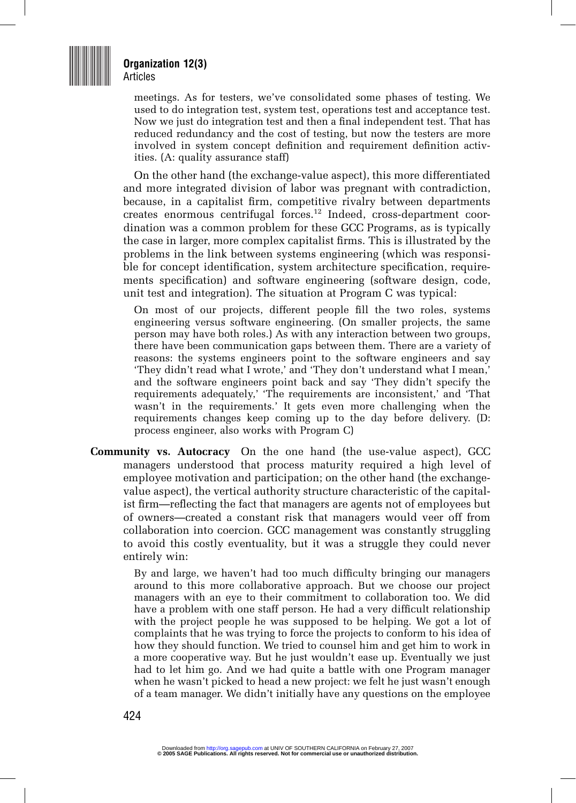

meetings. As for testers, we've consolidated some phases of testing. We used to do integration test, system test, operations test and acceptance test. Now we just do integration test and then a final independent test. That has reduced redundancy and the cost of testing, but now the testers are more involved in system concept definition and requirement definition activities. (A: quality assurance staff)

On the other hand (the exchange-value aspect), this more differentiated and more integrated division of labor was pregnant with contradiction, because, in a capitalist firm, competitive rivalry between departments creates enormous centrifugal forces.12 Indeed, cross-department coordination was a common problem for these GCC Programs, as is typically the case in larger, more complex capitalist firms. This is illustrated by the problems in the link between systems engineering (which was responsible for concept identification, system architecture specification, requirements specification) and software engineering (software design, code, unit test and integration). The situation at Program C was typical:

On most of our projects, different people fill the two roles, systems engineering versus software engineering. (On smaller projects, the same person may have both roles.) As with any interaction between two groups, there have been communication gaps between them. There are a variety of reasons: the systems engineers point to the software engineers and say 'They didn't read what I wrote,' and 'They don't understand what I mean,' and the software engineers point back and say 'They didn't specify the requirements adequately,' 'The requirements are inconsistent,' and 'That wasn't in the requirements.' It gets even more challenging when the requirements changes keep coming up to the day before delivery. (D: process engineer, also works with Program C)

**Community vs. Autocracy** On the one hand (the use-value aspect), GCC managers understood that process maturity required a high level of employee motivation and participation; on the other hand (the exchangevalue aspect), the vertical authority structure characteristic of the capitalist firm—reflecting the fact that managers are agents not of employees but of owners—created a constant risk that managers would veer off from collaboration into coercion. GCC management was constantly struggling to avoid this costly eventuality, but it was a struggle they could never entirely win:

> By and large, we haven't had too much difficulty bringing our managers around to this more collaborative approach. But we choose our project managers with an eye to their commitment to collaboration too. We did have a problem with one staff person. He had a very difficult relationship with the project people he was supposed to be helping. We got a lot of complaints that he was trying to force the projects to conform to his idea of how they should function. We tried to counsel him and get him to work in a more cooperative way. But he just wouldn't ease up. Eventually we just had to let him go. And we had quite a battle with one Program manager when he wasn't picked to head a new project: we felt he just wasn't enough of a team manager. We didn't initially have any questions on the employee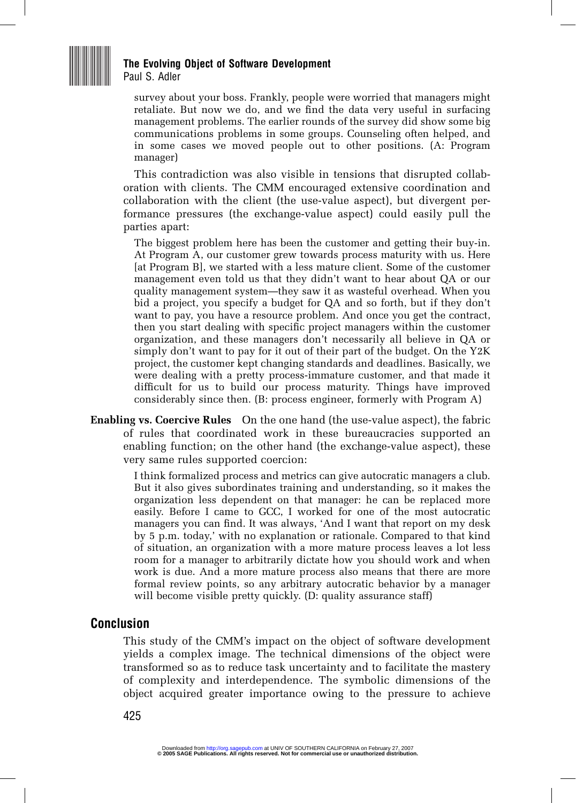

survey about your boss. Frankly, people were worried that managers might retaliate. But now we do, and we find the data very useful in surfacing management problems. The earlier rounds of the survey did show some big communications problems in some groups. Counseling often helped, and in some cases we moved people out to other positions. (A: Program manager)

This contradiction was also visible in tensions that disrupted collaboration with clients. The CMM encouraged extensive coordination and collaboration with the client (the use-value aspect), but divergent performance pressures (the exchange-value aspect) could easily pull the parties apart:

The biggest problem here has been the customer and getting their buy-in. At Program A, our customer grew towards process maturity with us. Here [at Program B], we started with a less mature client. Some of the customer management even told us that they didn't want to hear about QA or our quality management system—they saw it as wasteful overhead. When you bid a project, you specify a budget for QA and so forth, but if they don't want to pay, you have a resource problem. And once you get the contract, then you start dealing with specific project managers within the customer organization, and these managers don't necessarily all believe in QA or simply don't want to pay for it out of their part of the budget. On the Y2K project, the customer kept changing standards and deadlines. Basically, we were dealing with a pretty process-immature customer, and that made it difficult for us to build our process maturity. Things have improved considerably since then. (B: process engineer, formerly with Program A)

**Enabling vs. Coercive Rules** On the one hand (the use-value aspect), the fabric of rules that coordinated work in these bureaucracies supported an enabling function; on the other hand (the exchange-value aspect), these very same rules supported coercion:

> I think formalized process and metrics can give autocratic managers a club. But it also gives subordinates training and understanding, so it makes the organization less dependent on that manager: he can be replaced more easily. Before I came to GCC, I worked for one of the most autocratic managers you can find. It was always, 'And I want that report on my desk by 5 p.m. today,' with no explanation or rationale. Compared to that kind of situation, an organization with a more mature process leaves a lot less room for a manager to arbitrarily dictate how you should work and when work is due. And a more mature process also means that there are more formal review points, so any arbitrary autocratic behavior by a manager will become visible pretty quickly. (D: quality assurance staff)

## **Conclusion**

This study of the CMM's impact on the object of software development yields a complex image. The technical dimensions of the object were transformed so as to reduce task uncertainty and to facilitate the mastery of complexity and interdependence. The symbolic dimensions of the object acquired greater importance owing to the pressure to achieve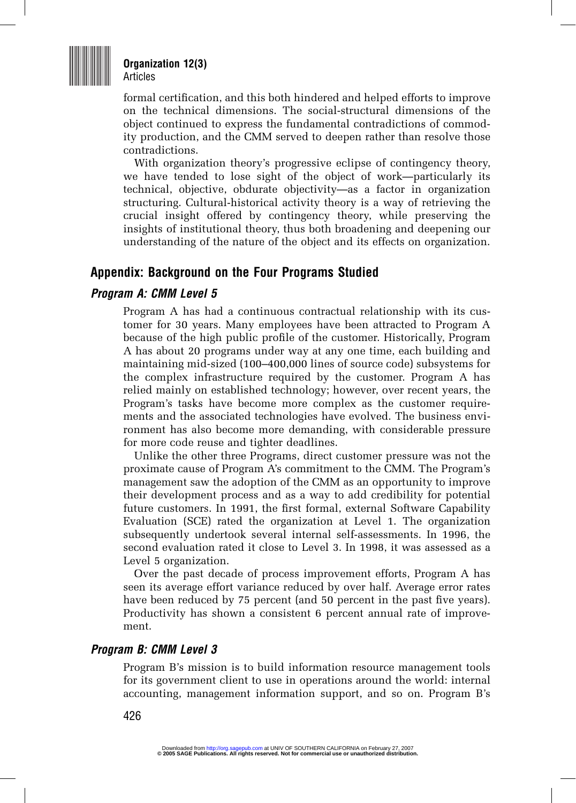

formal certification, and this both hindered and helped efforts to improve on the technical dimensions. The social-structural dimensions of the object continued to express the fundamental contradictions of commodity production, and the CMM served to deepen rather than resolve those contradictions.

With organization theory's progressive eclipse of contingency theory, we have tended to lose sight of the object of work—particularly its technical, objective, obdurate objectivity—as a factor in organization structuring. Cultural-historical activity theory is a way of retrieving the crucial insight offered by contingency theory, while preserving the insights of institutional theory, thus both broadening and deepening our understanding of the nature of the object and its effects on organization.

## **Appendix: Background on the Four Programs Studied**

## **Program A: CMM Level 5**

Program A has had a continuous contractual relationship with its customer for 30 years. Many employees have been attracted to Program A because of the high public profile of the customer. Historically, Program A has about 20 programs under way at any one time, each building and maintaining mid-sized (100–400,000 lines of source code) subsystems for the complex infrastructure required by the customer. Program A has relied mainly on established technology; however, over recent years, the Program's tasks have become more complex as the customer requirements and the associated technologies have evolved. The business environment has also become more demanding, with considerable pressure for more code reuse and tighter deadlines.

Unlike the other three Programs, direct customer pressure was not the proximate cause of Program A's commitment to the CMM. The Program's management saw the adoption of the CMM as an opportunity to improve their development process and as a way to add credibility for potential future customers. In 1991, the first formal, external Software Capability Evaluation (SCE) rated the organization at Level 1. The organization subsequently undertook several internal self-assessments. In 1996, the second evaluation rated it close to Level 3. In 1998, it was assessed as a Level 5 organization.

Over the past decade of process improvement efforts, Program A has seen its average effort variance reduced by over half. Average error rates have been reduced by 75 percent (and 50 percent in the past five years). Productivity has shown a consistent 6 percent annual rate of improvement.

## **Program B: CMM Level 3**

Program B's mission is to build information resource management tools for its government client to use in operations around the world: internal accounting, management information support, and so on. Program B's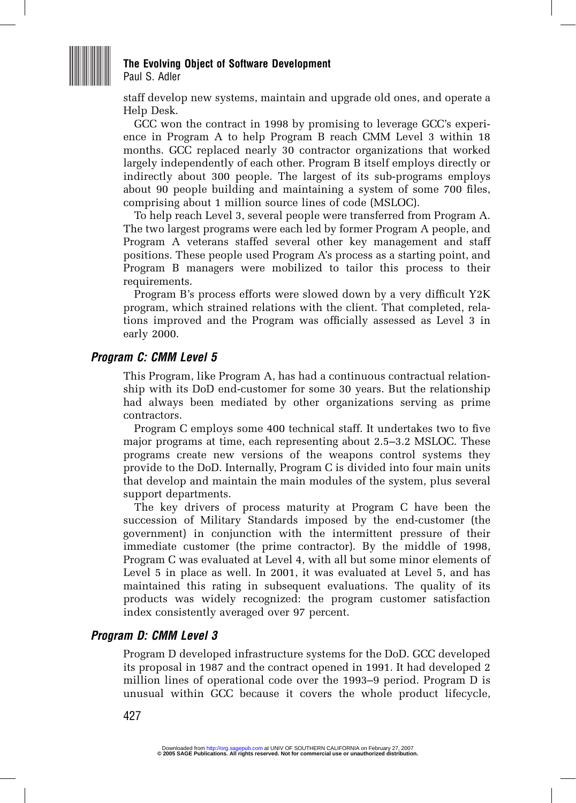

# **The Evolving Object of Software Development**

Paul S. Adler

staff develop new systems, maintain and upgrade old ones, and operate a Help Desk.

GCC won the contract in 1998 by promising to leverage GCC's experience in Program A to help Program B reach CMM Level 3 within 18 months. GCC replaced nearly 30 contractor organizations that worked largely independently of each other. Program B itself employs directly or indirectly about 300 people. The largest of its sub-programs employs about 90 people building and maintaining a system of some 700 files, comprising about 1 million source lines of code (MSLOC).

To help reach Level 3, several people were transferred from Program A. The two largest programs were each led by former Program A people, and Program A veterans staffed several other key management and staff positions. These people used Program A's process as a starting point, and Program B managers were mobilized to tailor this process to their requirements.

Program B's process efforts were slowed down by a very difficult Y2K program, which strained relations with the client. That completed, relations improved and the Program was officially assessed as Level 3 in early 2000.

## **Program C: CMM Level 5**

This Program, like Program A, has had a continuous contractual relationship with its DoD end-customer for some 30 years. But the relationship had always been mediated by other organizations serving as prime contractors.

Program C employs some 400 technical staff. It undertakes two to five major programs at time, each representing about 2.5–3.2 MSLOC. These programs create new versions of the weapons control systems they provide to the DoD. Internally, Program C is divided into four main units that develop and maintain the main modules of the system, plus several support departments.

The key drivers of process maturity at Program C have been the succession of Military Standards imposed by the end-customer (the government) in conjunction with the intermittent pressure of their immediate customer (the prime contractor). By the middle of 1998, Program C was evaluated at Level 4, with all but some minor elements of Level 5 in place as well. In 2001, it was evaluated at Level 5, and has maintained this rating in subsequent evaluations. The quality of its products was widely recognized: the program customer satisfaction index consistently averaged over 97 percent.

## **Program D: CMM Level 3**

Program D developed infrastructure systems for the DoD. GCC developed its proposal in 1987 and the contract opened in 1991. It had developed 2 million lines of operational code over the 1993–9 period. Program D is unusual within GCC because it covers the whole product lifecycle,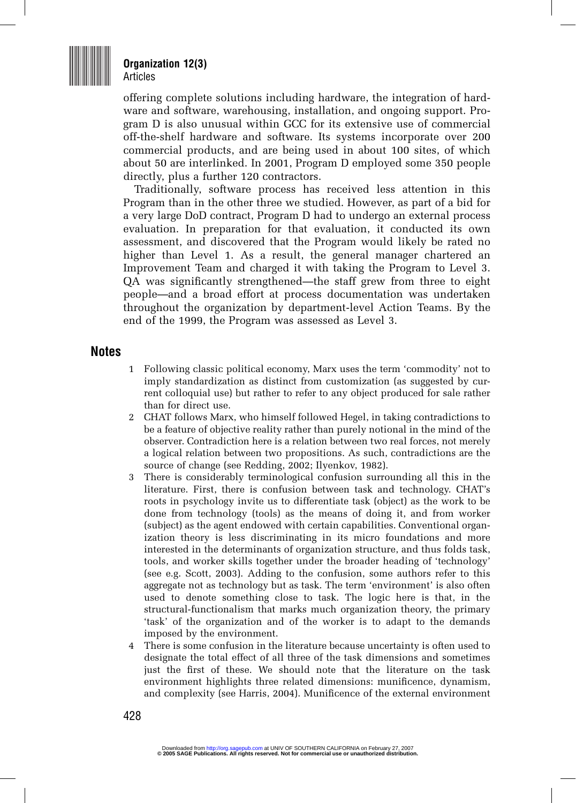

offering complete solutions including hardware, the integration of hardware and software, warehousing, installation, and ongoing support. Program D is also unusual within GCC for its extensive use of commercial off-the-shelf hardware and software. Its systems incorporate over 200 commercial products, and are being used in about 100 sites, of which about 50 are interlinked. In 2001, Program D employed some 350 people directly, plus a further 120 contractors.

Traditionally, software process has received less attention in this Program than in the other three we studied. However, as part of a bid for a very large DoD contract, Program D had to undergo an external process evaluation. In preparation for that evaluation, it conducted its own assessment, and discovered that the Program would likely be rated no higher than Level 1. As a result, the general manager chartered an Improvement Team and charged it with taking the Program to Level 3. QA was significantly strengthened—the staff grew from three to eight people—and a broad effort at process documentation was undertaken throughout the organization by department-level Action Teams. By the end of the 1999, the Program was assessed as Level 3.

## **Notes**

- 1 Following classic political economy, Marx uses the term 'commodity' not to imply standardization as distinct from customization (as suggested by current colloquial use) but rather to refer to any object produced for sale rather than for direct use.
- 2 CHAT follows Marx, who himself followed Hegel, in taking contradictions to be a feature of objective reality rather than purely notional in the mind of the observer. Contradiction here is a relation between two real forces, not merely a logical relation between two propositions. As such, contradictions are the source of change (see Redding, 2002; Ilyenkov, 1982).
- 3 There is considerably terminological confusion surrounding all this in the literature. First, there is confusion between task and technology. CHAT's roots in psychology invite us to differentiate task (object) as the work to be done from technology (tools) as the means of doing it, and from worker (subject) as the agent endowed with certain capabilities. Conventional organization theory is less discriminating in its micro foundations and more interested in the determinants of organization structure, and thus folds task, tools, and worker skills together under the broader heading of 'technology' (see e.g. Scott, 2003). Adding to the confusion, some authors refer to this aggregate not as technology but as task. The term 'environment' is also often used to denote something close to task. The logic here is that, in the structural-functionalism that marks much organization theory, the primary 'task' of the organization and of the worker is to adapt to the demands imposed by the environment.
- 4 There is some confusion in the literature because uncertainty is often used to designate the total effect of all three of the task dimensions and sometimes just the first of these. We should note that the literature on the task environment highlights three related dimensions: munificence, dynamism, and complexity (see Harris, 2004). Munificence of the external environment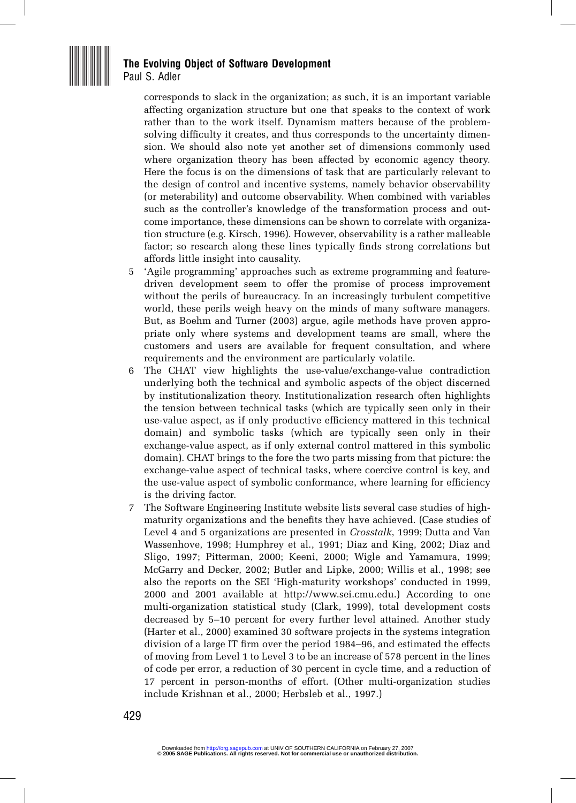

# **The Evolving Object of Software Development**

Paul S. Adler

corresponds to slack in the organization; as such, it is an important variable affecting organization structure but one that speaks to the context of work rather than to the work itself. Dynamism matters because of the problemsolving difficulty it creates, and thus corresponds to the uncertainty dimension. We should also note yet another set of dimensions commonly used where organization theory has been affected by economic agency theory. Here the focus is on the dimensions of task that are particularly relevant to the design of control and incentive systems, namely behavior observability (or meterability) and outcome observability. When combined with variables such as the controller's knowledge of the transformation process and outcome importance, these dimensions can be shown to correlate with organization structure (e.g. Kirsch, 1996). However, observability is a rather malleable factor; so research along these lines typically finds strong correlations but affords little insight into causality.

- 5 'Agile programming' approaches such as extreme programming and featuredriven development seem to offer the promise of process improvement without the perils of bureaucracy. In an increasingly turbulent competitive world, these perils weigh heavy on the minds of many software managers. But, as Boehm and Turner (2003) argue, agile methods have proven appropriate only where systems and development teams are small, where the customers and users are available for frequent consultation, and where requirements and the environment are particularly volatile.
- 6 The CHAT view highlights the use-value/exchange-value contradiction underlying both the technical and symbolic aspects of the object discerned by institutionalization theory. Institutionalization research often highlights the tension between technical tasks (which are typically seen only in their use-value aspect, as if only productive efficiency mattered in this technical domain) and symbolic tasks (which are typically seen only in their exchange-value aspect, as if only external control mattered in this symbolic domain). CHAT brings to the fore the two parts missing from that picture: the exchange-value aspect of technical tasks, where coercive control is key, and the use-value aspect of symbolic conformance, where learning for efficiency is the driving factor.
- 7 The Software Engineering Institute website lists several case studies of highmaturity organizations and the benefits they have achieved. (Case studies of Level 4 and 5 organizations are presented in *Crosstalk*, 1999; Dutta and Van Wassenhove, 1998; Humphrey et al., 1991; Diaz and King, 2002; Diaz and Sligo, 1997; Pitterman, 2000; Keeni, 2000; Wigle and Yamamura, 1999; McGarry and Decker, 2002; Butler and Lipke, 2000; Willis et al., 1998; see also the reports on the SEI 'High-maturity workshops' conducted in 1999, 2000 and 2001 available at http://www.sei.cmu.edu.) According to one multi-organization statistical study (Clark, 1999), total development costs decreased by 5–10 percent for every further level attained. Another study (Harter et al., 2000) examined 30 software projects in the systems integration division of a large IT firm over the period 1984–96, and estimated the effects of moving from Level 1 to Level 3 to be an increase of 578 percent in the lines of code per error, a reduction of 30 percent in cycle time, and a reduction of 17 percent in person-months of effort. (Other multi-organization studies include Krishnan et al., 2000; Herbsleb et al., 1997.)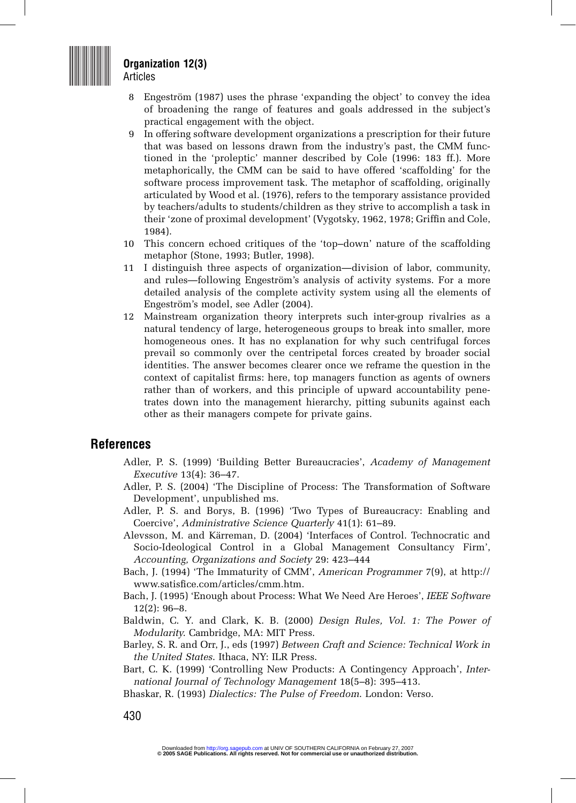

- 8 Engeström (1987) uses the phrase 'expanding the object' to convey the idea of broadening the range of features and goals addressed in the subject's practical engagement with the object.
- 9 In offering software development organizations a prescription for their future that was based on lessons drawn from the industry's past, the CMM functioned in the 'proleptic' manner described by Cole (1996: 183 ff.). More metaphorically, the CMM can be said to have offered 'scaffolding' for the software process improvement task. The metaphor of scaffolding, originally articulated by Wood et al. (1976), refers to the temporary assistance provided by teachers/adults to students/children as they strive to accomplish a task in their 'zone of proximal development' (Vygotsky, 1962, 1978; Griffin and Cole, 1984).
- 10 This concern echoed critiques of the 'top–down' nature of the scaffolding metaphor (Stone, 1993; Butler, 1998).
- 11 I distinguish three aspects of organization—division of labor, community, and rules—following Engeström's analysis of activity systems. For a more detailed analysis of the complete activity system using all the elements of Engeström's model, see Adler (2004).
- 12 Mainstream organization theory interprets such inter-group rivalries as a natural tendency of large, heterogeneous groups to break into smaller, more homogeneous ones. It has no explanation for why such centrifugal forces prevail so commonly over the centripetal forces created by broader social identities. The answer becomes clearer once we reframe the question in the context of capitalist firms: here, top managers function as agents of owners rather than of workers, and this principle of upward accountability penetrates down into the management hierarchy, pitting subunits against each other as their managers compete for private gains.

## **References**

- Adler, P. S. (1999) 'Building Better Bureaucracies', *Academy of Management Executive* 13(4): 36–47.
- Adler, P. S. (2004) 'The Discipline of Process: The Transformation of Software Development', unpublished ms.
- Adler, P. S. and Borys, B. (1996) 'Two Types of Bureaucracy: Enabling and Coercive', *Administrative Science Quarterly* 41(1): 61–89.

Alevsson, M. and Kärreman, D. (2004) 'Interfaces of Control. Technocratic and Socio-Ideological Control in a Global Management Consultancy Firm', *Accounting, Organizations and Society* 29: 423–444

- Bach, J. (1994) 'The Immaturity of CMM', *American Programmer* 7(9), at http:// www.satisfice.com/articles/cmm.htm.
- Bach, J. (1995) 'Enough about Process: What We Need Are Heroes', *IEEE Software* 12(2): 96–8.
- Baldwin, C. Y. and Clark, K. B. (2000) *Design Rules, Vol. 1: The Power of Modularity*. Cambridge, MA: MIT Press.
- Barley, S. R. and Orr, J., eds (1997) *Between Craft and Science: Technical Work in the United States*. Ithaca, NY: ILR Press.
- Bart, C. K. (1999) 'Controlling New Products: A Contingency Approach', *International Journal of Technology Management* 18(5–8): 395–413.
- Bhaskar, R. (1993) *Dialectics: The Pulse of Freedom*. London: Verso.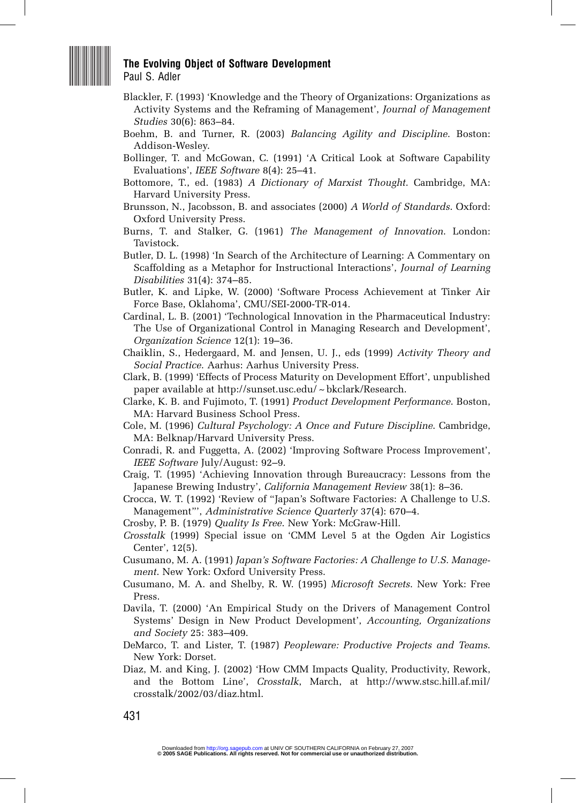

## **The Evolving Object of Software Development**

Paul S. Adler

- Blackler, F. (1993) 'Knowledge and the Theory of Organizations: Organizations as Activity Systems and the Reframing of Management', *Journal of Management Studies* 30(6): 863–84.
- Boehm, B. and Turner, R. (2003) *Balancing Agility and Discipline*. Boston: Addison-Wesley.
- Bollinger, T. and McGowan, C. (1991) 'A Critical Look at Software Capability Evaluations', *IEEE Software* 8(4): 25–41.
- Bottomore, T., ed. (1983) *A Dictionary of Marxist Thought*. Cambridge, MA: Harvard University Press.
- Brunsson, N., Jacobsson, B. and associates (2000) *A World of Standards*. Oxford: Oxford University Press.
- Burns, T. and Stalker, G. (1961) *The Management of Innovation*. London: Tavistock.
- Butler, D. L. (1998) 'In Search of the Architecture of Learning: A Commentary on Scaffolding as a Metaphor for Instructional Interactions', *Journal of Learning Disabilities* 31(4): 374–85.
- Butler, K. and Lipke, W. (2000) 'Software Process Achievement at Tinker Air Force Base, Oklahoma', CMU/SEI-2000-TR-014.
- Cardinal, L. B. (2001) 'Technological Innovation in the Pharmaceutical Industry: The Use of Organizational Control in Managing Research and Development', *Organization Science* 12(1): 19–36.
- Chaiklin, S., Hedergaard, M. and Jensen, U. J., eds (1999) *Activity Theory and Social Practice*. Aarhus: Aarhus University Press.
- Clark, B. (1999) 'Effects of Process Maturity on Development Effort', unpublished paper available at http://sunset.usc.edu/ ~ bkclark/Research.
- Clarke, K. B. and Fujimoto, T. (1991) *Product Development Performance*. Boston, MA: Harvard Business School Press.
- Cole, M. (1996) *Cultural Psychology: A Once and Future Discipline*. Cambridge, MA: Belknap/Harvard University Press.
- Conradi, R. and Fuggetta, A. (2002) 'Improving Software Process Improvement', *IEEE Software* July/August: 92–9.
- Craig, T. (1995) 'Achieving Innovation through Bureaucracy: Lessons from the Japanese Brewing Industry', *California Management Review* 38(1): 8–36.
- Crocca, W. T. (1992) 'Review of "Japan's Software Factories: A Challenge to U.S. Management"', *Administrative Science Quarterly* 37(4): 670–4.
- Crosby, P. B. (1979) *Quality Is Free*. New York: McGraw-Hill.
- *Crosstalk* (1999) Special issue on 'CMM Level 5 at the Ogden Air Logistics Center', 12(5).
- Cusumano, M. A. (1991) *Japan's Software Factories: A Challenge to U.S. Management*. New York: Oxford University Press.
- Cusumano, M. A. and Shelby, R. W. (1995) *Microsoft Secrets*. New York: Free Press.
- Davila, T. (2000) 'An Empirical Study on the Drivers of Management Control Systems' Design in New Product Development', *Accounting, Organizations and Society* 25: 383–409.
- DeMarco, T. and Lister, T. (1987) *Peopleware: Productive Projects and Teams*. New York: Dorset.
- Diaz, M. and King, J. (2002) 'How CMM Impacts Quality, Productivity, Rework, and the Bottom Line', *Crosstalk*, March, at http://www.stsc.hill.af.mil/ crosstalk/2002/03/diaz.html.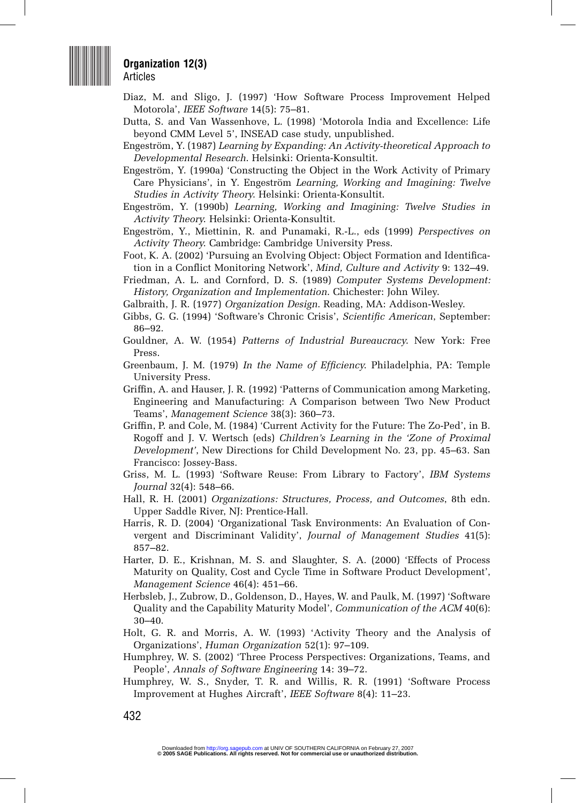

- Diaz, M. and Sligo, J. (1997) 'How Software Process Improvement Helped Motorola', *IEEE Software* 14(5): 75–81.
- Dutta, S. and Van Wassenhove, L. (1998) 'Motorola India and Excellence: Life beyond CMM Level 5', INSEAD case study, unpublished.
- Engeström, Y. (1987) *Learning by Expanding: An Activity-theoretical Approach to Developmental Research*. Helsinki: Orienta-Konsultit.
- Engeström, Y. (1990a) 'Constructing the Object in the Work Activity of Primary Care Physicians', in Y. Engeström *Learning, Working and Imagining: Twelve Studies in Activity Theory*. Helsinki: Orienta-Konsultit.
- Engeström, Y. (1990b) *Learning, Working and Imagining: Twelve Studies in Activity Theory*. Helsinki: Orienta-Konsultit.
- Engeström, Y., Miettinin, R. and Punamaki, R.-L., eds (1999) *Perspectives on Activity Theory*. Cambridge: Cambridge University Press.
- Foot, K. A. (2002) 'Pursuing an Evolving Object: Object Formation and Identification in a Conflict Monitoring Network', *Mind, Culture and Activity* 9: 132–49.
- Friedman, A. L. and Cornford, D. S. (1989) *Computer Systems Development: History, Organization and Implementation*. Chichester: John Wiley.
- Galbraith, J. R. (1977) *Organization Design*. Reading, MA: Addison-Wesley.
- Gibbs, G. G. (1994) 'Software's Chronic Crisis', *Scientific American*, September: 86–92.
- Gouldner, A. W. (1954) *Patterns of Industrial Bureaucracy*. New York: Free Press.
- Greenbaum, J. M. (1979) *In the Name of Efficiency*. Philadelphia, PA: Temple University Press.
- Griffin, A. and Hauser, J. R. (1992) 'Patterns of Communication among Marketing, Engineering and Manufacturing: A Comparison between Two New Product Teams', *Management Science* 38(3): 360–73.
- Griffin, P. and Cole, M. (1984) 'Current Activity for the Future: The Zo-Ped', in B. Rogoff and J. V. Wertsch (eds) *Children's Learning in the 'Zone of Proximal Development'*, New Directions for Child Development No. 23, pp. 45–63. San Francisco: Jossey-Bass.
- Griss, M. L. (1993) 'Software Reuse: From Library to Factory', *IBM Systems Journal* 32(4): 548–66.
- Hall, R. H. (2001) *Organizations: Structures, Process, and Outcomes*, 8th edn. Upper Saddle River, NJ: Prentice-Hall.
- Harris, R. D. (2004) 'Organizational Task Environments: An Evaluation of Convergent and Discriminant Validity', *Journal of Management Studies* 41(5): 857–82.
- Harter, D. E., Krishnan, M. S. and Slaughter, S. A. (2000) 'Effects of Process Maturity on Quality, Cost and Cycle Time in Software Product Development', *Management Science* 46(4): 451–66.
- Herbsleb, J., Zubrow, D., Goldenson, D., Hayes, W. and Paulk, M. (1997) 'Software Quality and the Capability Maturity Model', *Communication of the ACM* 40(6): 30–40.
- Holt, G. R. and Morris, A. W. (1993) 'Activity Theory and the Analysis of Organizations', *Human Organization* 52(1): 97–109.
- Humphrey, W. S. (2002) 'Three Process Perspectives: Organizations, Teams, and People', *Annals of Software Engineering* 14: 39–72.
- Humphrey, W. S., Snyder, T. R. and Willis, R. R. (1991) 'Software Process Improvement at Hughes Aircraft', *IEEE Software* 8(4): 11–23.

432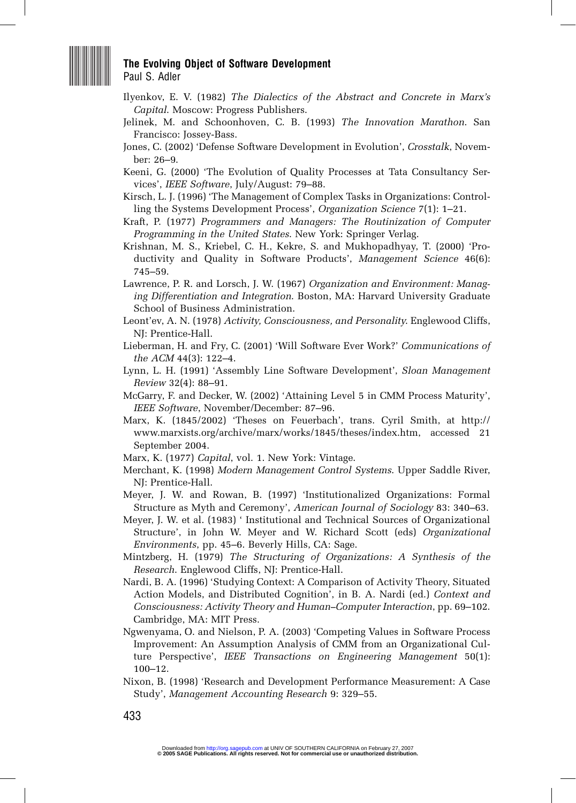

- Ilyenkov, E. V. (1982) *The Dialectics of the Abstract and Concrete in Marx's Capital*. Moscow: Progress Publishers.
- Jelinek, M. and Schoonhoven, C. B. (1993) *The Innovation Marathon*. San Francisco: Jossey-Bass.
- Jones, C. (2002) 'Defense Software Development in Evolution', *Crosstalk*, November: 26–9.
- Keeni, G. (2000) 'The Evolution of Quality Processes at Tata Consultancy Services', *IEEE Software*, July/August: 79–88.
- Kirsch, L. J. (1996) 'The Management of Complex Tasks in Organizations: Controlling the Systems Development Process', *Organization Science* 7(1): 1–21.
- Kraft, P. (1977) *Programmers and Managers: The Routinization of Computer Programming in the United States*. New York: Springer Verlag.
- Krishnan, M. S., Kriebel, C. H., Kekre, S. and Mukhopadhyay, T. (2000) 'Productivity and Quality in Software Products', *Management Science* 46(6): 745–59.
- Lawrence, P. R. and Lorsch, J. W. (1967) *Organization and Environment: Managing Differentiation and Integration*. Boston, MA: Harvard University Graduate School of Business Administration.
- Leont'ev, A. N. (1978) *Activity, Consciousness, and Personality*. Englewood Cliffs, NJ: Prentice-Hall.
- Lieberman, H. and Fry, C. (2001) 'Will Software Ever Work?' *Communications of the ACM* 44(3): 122–4.
- Lynn, L. H. (1991) 'Assembly Line Software Development', *Sloan Management Review* 32(4): 88–91.
- McGarry, F. and Decker, W. (2002) 'Attaining Level 5 in CMM Process Maturity', *IEEE Software*, November/December: 87–96.
- Marx, K. (1845/2002) 'Theses on Feuerbach', trans. Cyril Smith, at http:// www.marxists.org/archive/marx/works/1845/theses/index.htm, accessed 21 September 2004.
- Marx, K. (1977) *Capital*, vol. 1. New York: Vintage.
- Merchant, K. (1998) *Modern Management Control Systems*. Upper Saddle River, NJ: Prentice-Hall.
- Meyer, J. W. and Rowan, B. (1997) 'Institutionalized Organizations: Formal Structure as Myth and Ceremony', *American Journal of Sociology* 83: 340–63.
- Meyer, J. W. et al. (1983) ' Institutional and Technical Sources of Organizational Structure', in John W. Meyer and W. Richard Scott (eds) *Organizational Environments*, pp. 45–6. Beverly Hills, CA: Sage.
- Mintzberg, H. (1979) *The Structuring of Organizations: A Synthesis of the Research*. Englewood Cliffs, NJ: Prentice-Hall.
- Nardi, B. A. (1996) 'Studying Context: A Comparison of Activity Theory, Situated Action Models, and Distributed Cognition', in B. A. Nardi (ed.) *Context and Consciousness: Activity Theory and Human–Computer Interaction*, pp. 69–102. Cambridge, MA: MIT Press.
- Ngwenyama, O. and Nielson, P. A. (2003) 'Competing Values in Software Process Improvement: An Assumption Analysis of CMM from an Organizational Culture Perspective', *IEEE Transactions on Engineering Management* 50(1): 100–12.
- Nixon, B. (1998) 'Research and Development Performance Measurement: A Case Study', *Management Accounting Research* 9: 329–55.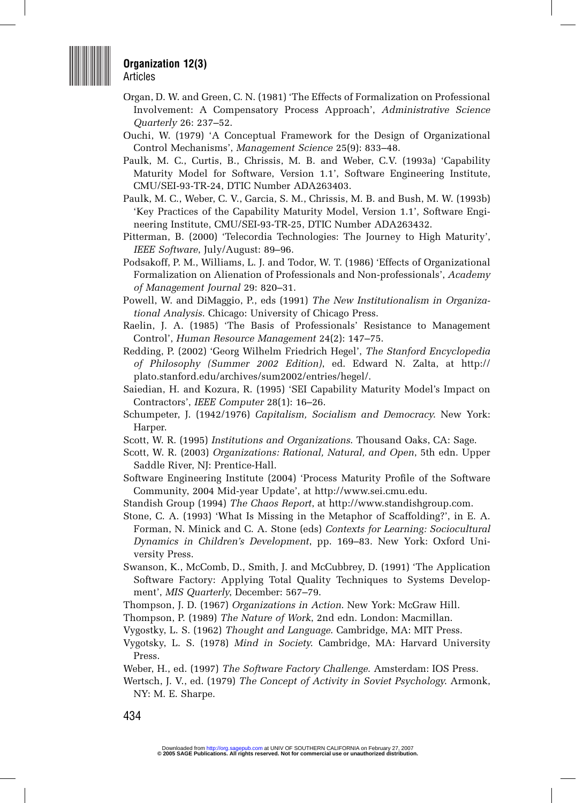

- Organ, D. W. and Green, C. N. (1981) 'The Effects of Formalization on Professional Involvement: A Compensatory Process Approach', *Administrative Science Quarterly* 26: 237–52.
- Ouchi, W. (1979) 'A Conceptual Framework for the Design of Organizational Control Mechanisms', *Management Science* 25(9): 833–48.
- Paulk, M. C., Curtis, B., Chrissis, M. B. and Weber, C.V. (1993a) 'Capability Maturity Model for Software, Version 1.1', Software Engineering Institute, CMU/SEI-93-TR-24, DTIC Number ADA263403.
- Paulk, M. C., Weber, C. V., Garcia, S. M., Chrissis, M. B. and Bush, M. W. (1993b) 'Key Practices of the Capability Maturity Model, Version 1.1', Software Engineering Institute, CMU/SEI-93-TR-25, DTIC Number ADA263432.
- Pitterman, B. (2000) 'Telecordia Technologies: The Journey to High Maturity', *IEEE Software*, July/August: 89–96.
- Podsakoff, P. M., Williams, L. J. and Todor, W. T. (1986) 'Effects of Organizational Formalization on Alienation of Professionals and Non-professionals', *Academy of Management Journal* 29: 820–31.
- Powell, W. and DiMaggio, P., eds (1991) *The New Institutionalism in Organizational Analysis*. Chicago: University of Chicago Press.
- Raelin, J. A. (1985) 'The Basis of Professionals' Resistance to Management Control', *Human Resource Management* 24(2): 147–75.
- Redding, P. (2002) 'Georg Wilhelm Friedrich Hegel', *The Stanford Encyclopedia of Philosophy (Summer 2002 Edition)*, ed. Edward N. Zalta, at http:// plato.stanford.edu/archives/sum2002/entries/hegel/.
- Saiedian, H. and Kozura, R. (1995) 'SEI Capability Maturity Model's Impact on Contractors', *IEEE Computer* 28(1): 16–26.
- Schumpeter, J. (1942/1976) *Capitalism, Socialism and Democracy*. New York: Harper.
- Scott, W. R. (1995) *Institutions and Organizations*. Thousand Oaks, CA: Sage.
- Scott, W. R. (2003) *Organizations: Rational, Natural, and Open*, 5th edn. Upper Saddle River, NJ: Prentice-Hall.
- Software Engineering Institute (2004) 'Process Maturity Profile of the Software Community, 2004 Mid-year Update', at http://www.sei.cmu.edu.
- Standish Group (1994) *The Chaos Report*, at http://www.standishgroup.com.
- Stone, C. A. (1993) 'What Is Missing in the Metaphor of Scaffolding?', in E. A. Forman, N. Minick and C. A. Stone (eds) *Contexts for Learning: Sociocultural Dynamics in Children's Development*, pp. 169–83. New York: Oxford University Press.
- Swanson, K., McComb, D., Smith, J. and McCubbrey, D. (1991) 'The Application Software Factory: Applying Total Quality Techniques to Systems Development', *MIS Quarterly*, December: 567–79.
- Thompson, J. D. (1967) *Organizations in Action*. New York: McGraw Hill.
- Thompson, P. (1989) *The Nature of Work*, 2nd edn. London: Macmillan.
- Vygostky, L. S. (1962) *Thought and Language*. Cambridge, MA: MIT Press.
- Vygotsky, L. S. (1978) *Mind in Society*. Cambridge, MA: Harvard University Press.
- Weber, H., ed. (1997) *The Software Factory Challenge*. Amsterdam: IOS Press.
- Wertsch, J. V., ed. (1979) *The Concept of Activity in Soviet Psychology*. Armonk, NY: M. E. Sharpe.